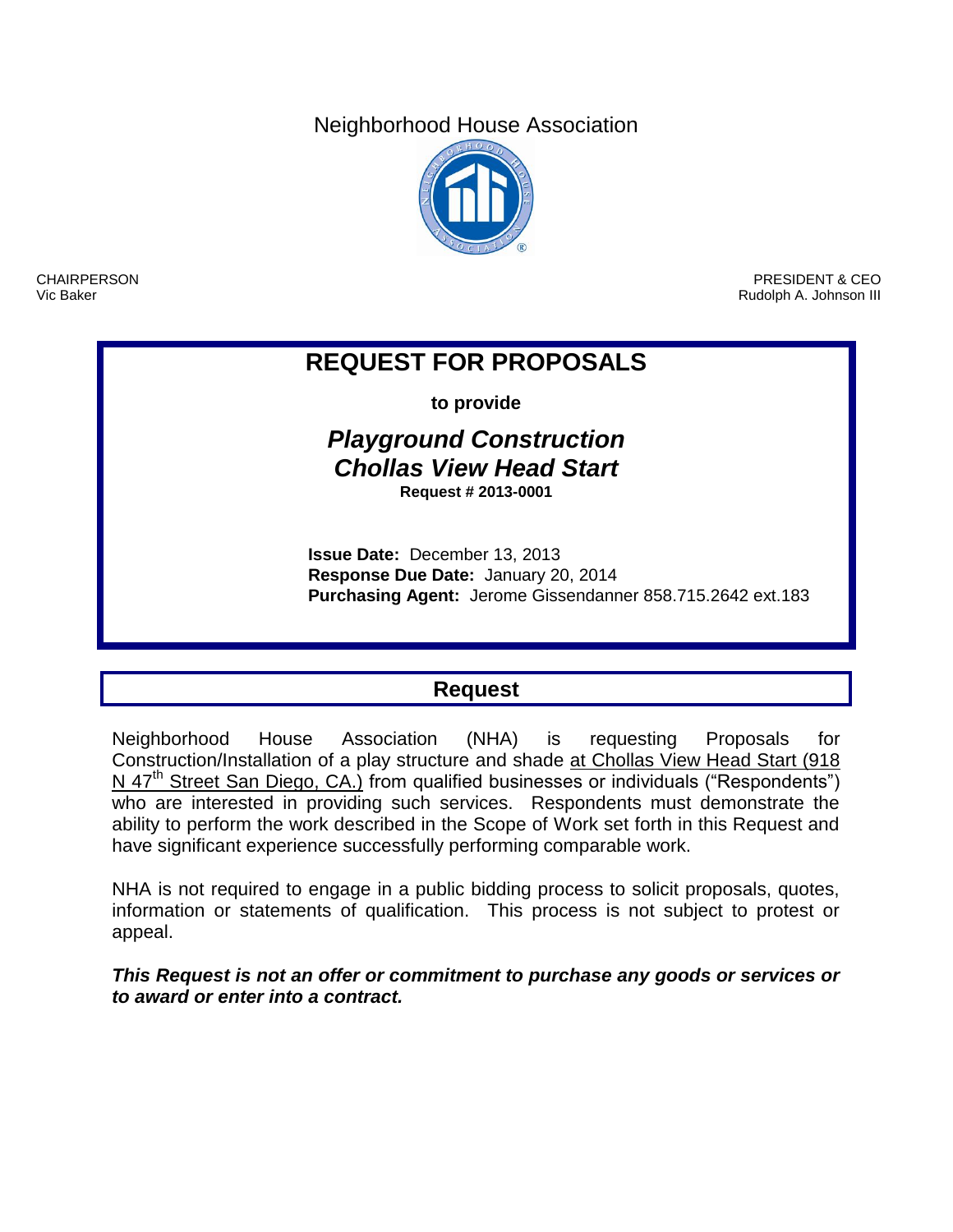Neighborhood House Association



CHAIRPERSON Vic Baker

PRESIDENT & CEO Rudolph A. Johnson III

# **REQUEST FOR PROPOSALS**

**to provide**

# *Playground Construction Chollas View Head Start* **Request # 2013-0001**

**Issue Date:** December 13, 2013 **Response Due Date:** January 20, 2014 **Purchasing Agent:** Jerome Gissendanner 858.715.2642 ext.183

# **Request**

Neighborhood House Association (NHA) is requesting Proposals for Construction/Installation of a play structure and shade at Chollas View Head Start (918 N 47<sup>th</sup> Street San Diego, CA.) from qualified businesses or individuals ("Respondents") who are interested in providing such services. Respondents must demonstrate the ability to perform the work described in the Scope of Work set forth in this Request and have significant experience successfully performing comparable work.

NHA is not required to engage in a public bidding process to solicit proposals, quotes, information or statements of qualification. This process is not subject to protest or appeal.

*This Request is not an offer or commitment to purchase any goods or services or to award or enter into a contract.*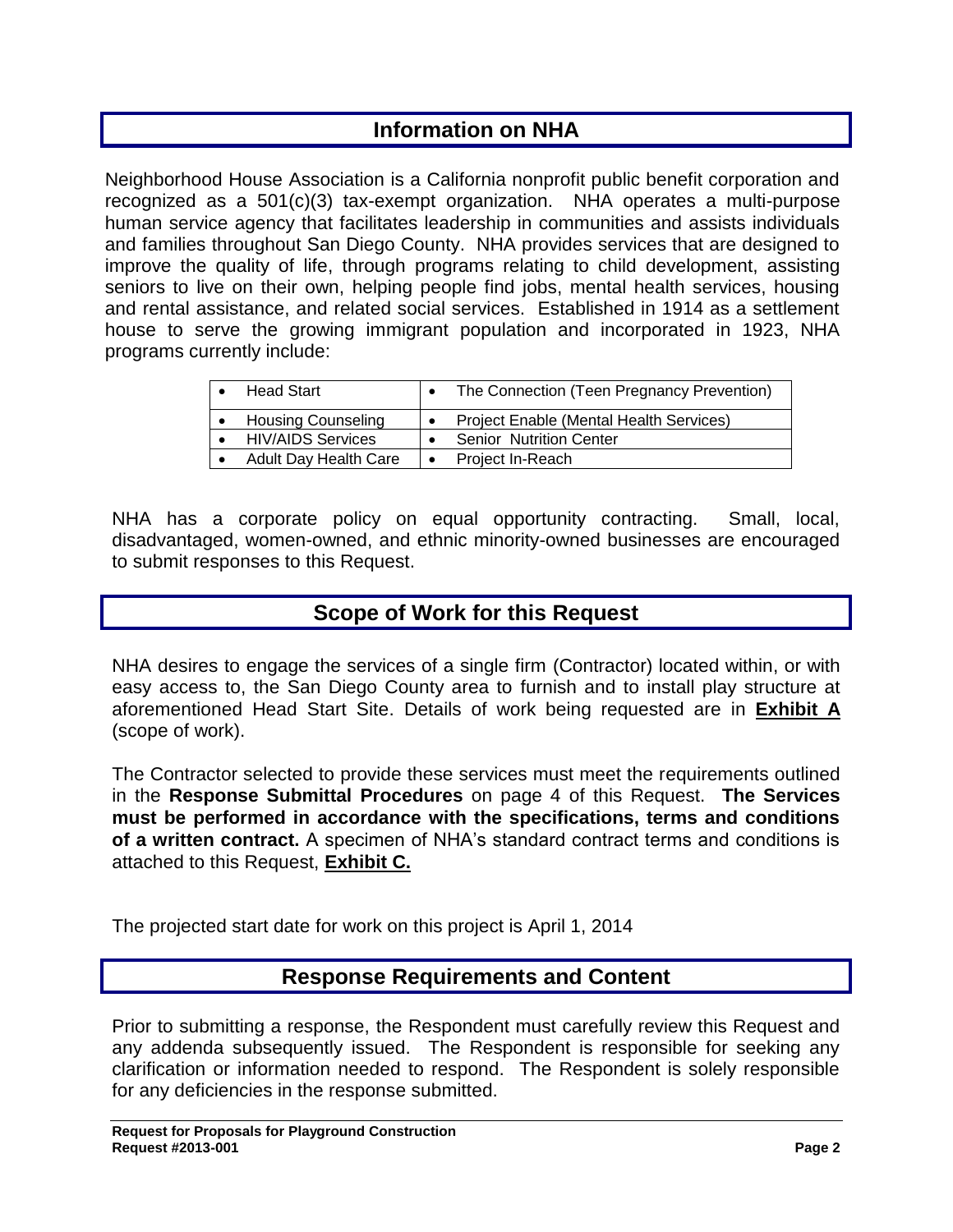# **Information on NHA**

Neighborhood House Association is a California nonprofit public benefit corporation and recognized as a 501(c)(3) tax-exempt organization. NHA operates a multi-purpose human service agency that facilitates leadership in communities and assists individuals and families throughout San Diego County. NHA provides services that are designed to improve the quality of life, through programs relating to child development, assisting seniors to live on their own, helping people find jobs, mental health services, housing and rental assistance, and related social services. Established in 1914 as a settlement house to serve the growing immigrant population and incorporated in 1923, NHA programs currently include:

| <b>Head Start</b>         | The Connection (Teen Pregnancy Prevention) |
|---------------------------|--------------------------------------------|
| <b>Housing Counseling</b> | Project Enable (Mental Health Services)    |
| <b>HIV/AIDS Services</b>  | <b>Senior Nutrition Center</b>             |
| Adult Day Health Care     | Project In-Reach                           |

NHA has a corporate policy on equal opportunity contracting. Small, local, disadvantaged, women-owned, and ethnic minority-owned businesses are encouraged to submit responses to this Request.

# **Scope of Work for this Request**

NHA desires to engage the services of a single firm (Contractor) located within, or with easy access to, the San Diego County area to furnish and to install play structure at aforementioned Head Start Site. Details of work being requested are in **Exhibit A** (scope of work).

The Contractor selected to provide these services must meet the requirements outlined in the **Response Submittal Procedures** on page 4 of this Request. **The Services must be performed in accordance with the specifications, terms and conditions of a written contract.** A specimen of NHA's standard contract terms and conditions is attached to this Request, **Exhibit C.**

The projected start date for work on this project is April 1, 2014

# **Response Requirements and Content**

Prior to submitting a response, the Respondent must carefully review this Request and any addenda subsequently issued. The Respondent is responsible for seeking any clarification or information needed to respond. The Respondent is solely responsible for any deficiencies in the response submitted.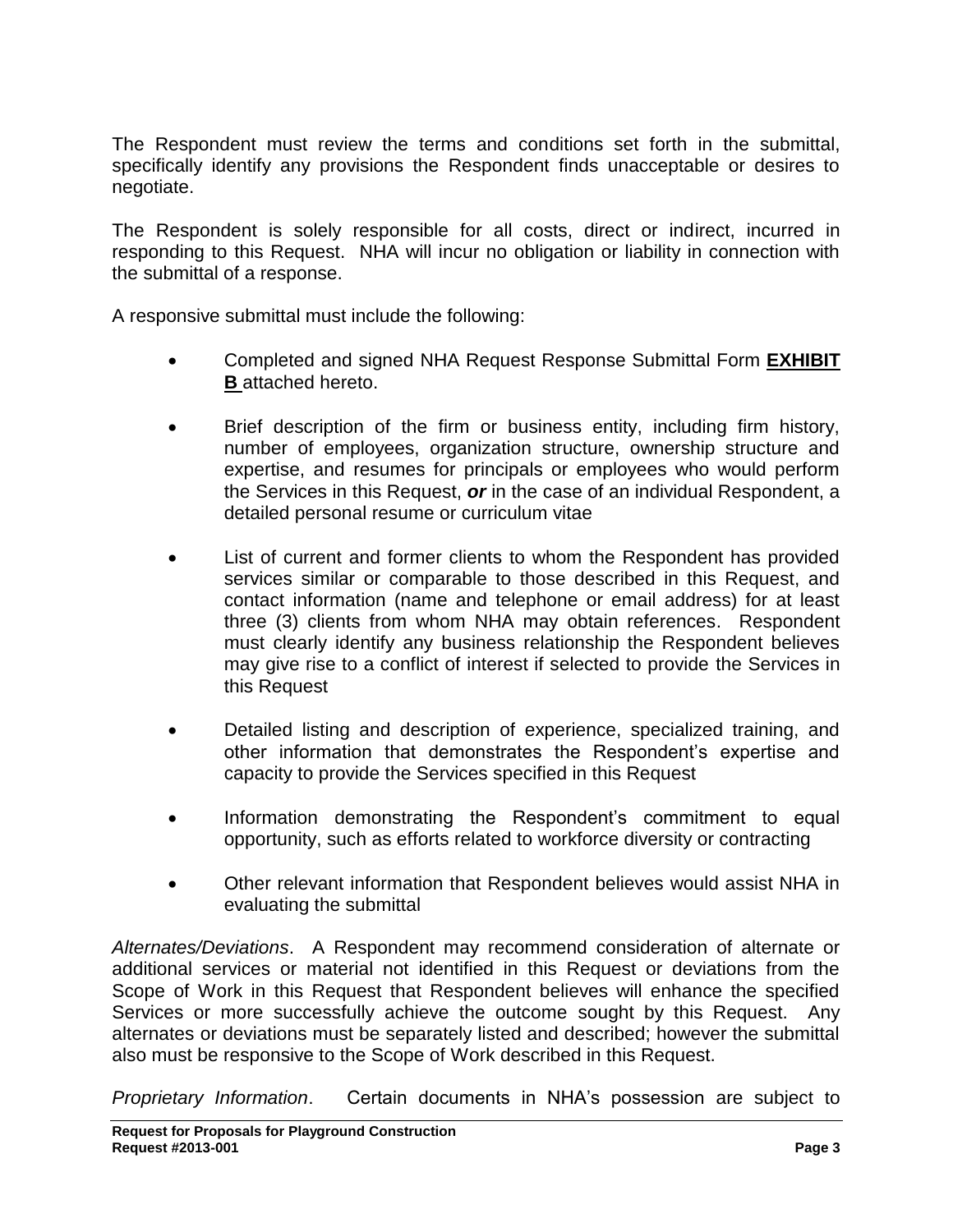The Respondent must review the terms and conditions set forth in the submittal, specifically identify any provisions the Respondent finds unacceptable or desires to negotiate.

The Respondent is solely responsible for all costs, direct or indirect, incurred in responding to this Request. NHA will incur no obligation or liability in connection with the submittal of a response.

A responsive submittal must include the following:

- Completed and signed NHA Request Response Submittal Form **EXHIBIT B** attached hereto.
- Brief description of the firm or business entity, including firm history, number of employees, organization structure, ownership structure and expertise, and resumes for principals or employees who would perform the Services in this Request, *or* in the case of an individual Respondent, a detailed personal resume or curriculum vitae
- List of current and former clients to whom the Respondent has provided services similar or comparable to those described in this Request, and contact information (name and telephone or email address) for at least three (3) clients from whom NHA may obtain references. Respondent must clearly identify any business relationship the Respondent believes may give rise to a conflict of interest if selected to provide the Services in this Request
- Detailed listing and description of experience, specialized training, and other information that demonstrates the Respondent's expertise and capacity to provide the Services specified in this Request
- Information demonstrating the Respondent's commitment to equal opportunity, such as efforts related to workforce diversity or contracting
- Other relevant information that Respondent believes would assist NHA in evaluating the submittal

*Alternates/Deviations*. A Respondent may recommend consideration of alternate or additional services or material not identified in this Request or deviations from the Scope of Work in this Request that Respondent believes will enhance the specified Services or more successfully achieve the outcome sought by this Request. Any alternates or deviations must be separately listed and described; however the submittal also must be responsive to the Scope of Work described in this Request.

*Proprietary Information*. Certain documents in NHA's possession are subject to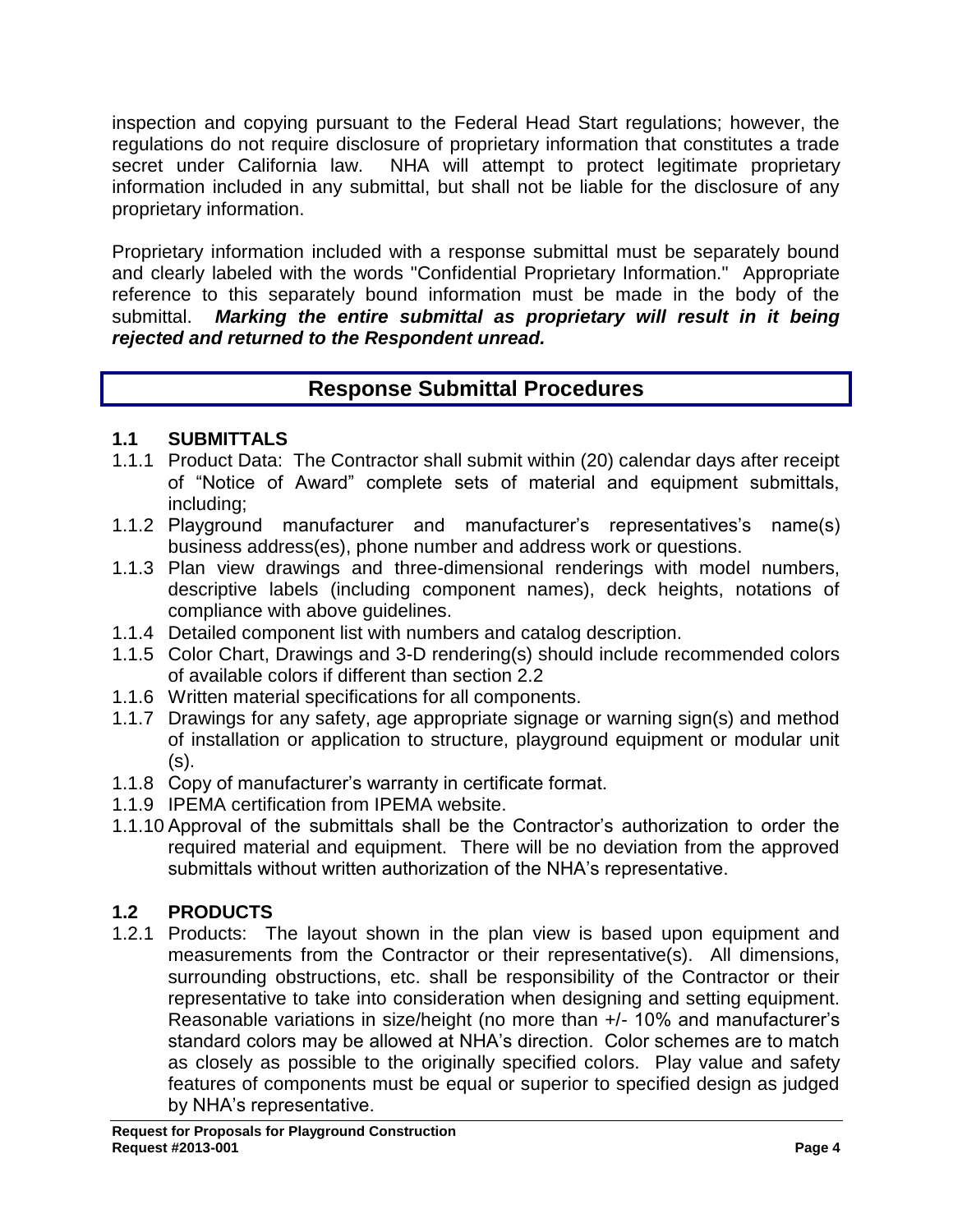inspection and copying pursuant to the Federal Head Start regulations; however, the regulations do not require disclosure of proprietary information that constitutes a trade secret under California law. NHA will attempt to protect legitimate proprietary information included in any submittal, but shall not be liable for the disclosure of any proprietary information.

Proprietary information included with a response submittal must be separately bound and clearly labeled with the words "Confidential Proprietary Information." Appropriate reference to this separately bound information must be made in the body of the submittal. *Marking the entire submittal as proprietary will result in it being rejected and returned to the Respondent unread.*

# **Response Submittal Procedures**

# **1.1 SUBMITTALS**

- 1.1.1 Product Data: The Contractor shall submit within (20) calendar days after receipt of "Notice of Award" complete sets of material and equipment submittals, including;
- 1.1.2 Playground manufacturer and manufacturer's representatives's name(s) business address(es), phone number and address work or questions.
- 1.1.3 Plan view drawings and three-dimensional renderings with model numbers, descriptive labels (including component names), deck heights, notations of compliance with above guidelines.
- 1.1.4 Detailed component list with numbers and catalog description.
- 1.1.5 Color Chart, Drawings and 3-D rendering(s) should include recommended colors of available colors if different than section 2.2
- 1.1.6 Written material specifications for all components.
- 1.1.7 Drawings for any safety, age appropriate signage or warning sign(s) and method of installation or application to structure, playground equipment or modular unit (s).
- 1.1.8 Copy of manufacturer's warranty in certificate format.
- 1.1.9 IPEMA certification from IPEMA website.
- 1.1.10 Approval of the submittals shall be the Contractor's authorization to order the required material and equipment. There will be no deviation from the approved submittals without written authorization of the NHA's representative.

# **1.2 PRODUCTS**

1.2.1 Products: The layout shown in the plan view is based upon equipment and measurements from the Contractor or their representative(s). All dimensions, surrounding obstructions, etc. shall be responsibility of the Contractor or their representative to take into consideration when designing and setting equipment. Reasonable variations in size/height (no more than +/- 10% and manufacturer's standard colors may be allowed at NHA's direction. Color schemes are to match as closely as possible to the originally specified colors. Play value and safety features of components must be equal or superior to specified design as judged by NHA's representative.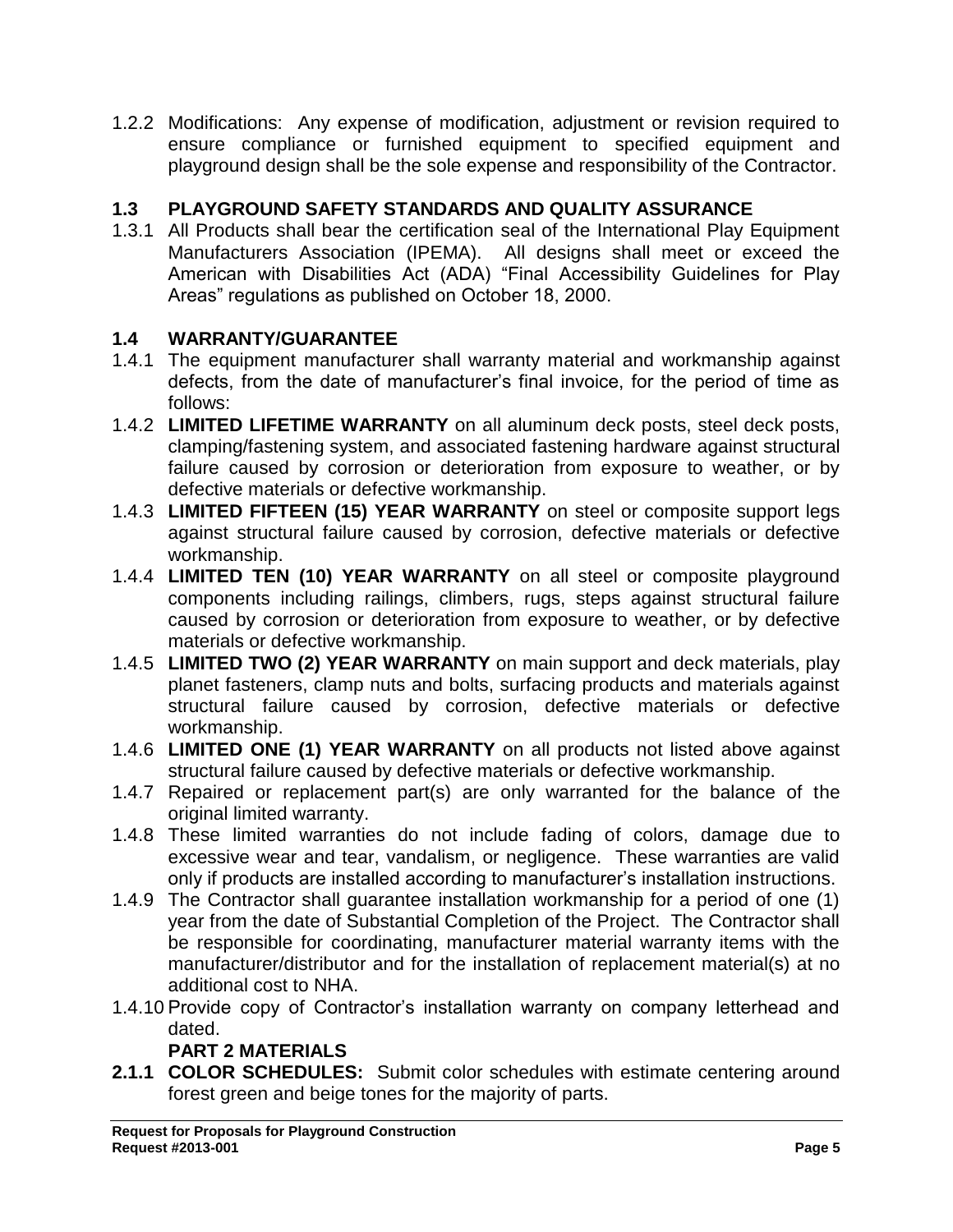1.2.2 Modifications: Any expense of modification, adjustment or revision required to ensure compliance or furnished equipment to specified equipment and playground design shall be the sole expense and responsibility of the Contractor.

# **1.3 PLAYGROUND SAFETY STANDARDS AND QUALITY ASSURANCE**

1.3.1 All Products shall bear the certification seal of the International Play Equipment Manufacturers Association (IPEMA). All designs shall meet or exceed the American with Disabilities Act (ADA) "Final Accessibility Guidelines for Play Areas" regulations as published on October 18, 2000.

# **1.4 WARRANTY/GUARANTEE**

- 1.4.1 The equipment manufacturer shall warranty material and workmanship against defects, from the date of manufacturer's final invoice, for the period of time as follows:
- 1.4.2 **LIMITED LIFETIME WARRANTY** on all aluminum deck posts, steel deck posts, clamping/fastening system, and associated fastening hardware against structural failure caused by corrosion or deterioration from exposure to weather, or by defective materials or defective workmanship.
- 1.4.3 **LIMITED FIFTEEN (15) YEAR WARRANTY** on steel or composite support legs against structural failure caused by corrosion, defective materials or defective workmanship.
- 1.4.4 **LIMITED TEN (10) YEAR WARRANTY** on all steel or composite playground components including railings, climbers, rugs, steps against structural failure caused by corrosion or deterioration from exposure to weather, or by defective materials or defective workmanship.
- 1.4.5 **LIMITED TWO (2) YEAR WARRANTY** on main support and deck materials, play planet fasteners, clamp nuts and bolts, surfacing products and materials against structural failure caused by corrosion, defective materials or defective workmanship.
- 1.4.6 **LIMITED ONE (1) YEAR WARRANTY** on all products not listed above against structural failure caused by defective materials or defective workmanship.
- 1.4.7 Repaired or replacement part(s) are only warranted for the balance of the original limited warranty.
- 1.4.8 These limited warranties do not include fading of colors, damage due to excessive wear and tear, vandalism, or negligence. These warranties are valid only if products are installed according to manufacturer's installation instructions.
- 1.4.9 The Contractor shall guarantee installation workmanship for a period of one (1) year from the date of Substantial Completion of the Project. The Contractor shall be responsible for coordinating, manufacturer material warranty items with the manufacturer/distributor and for the installation of replacement material(s) at no additional cost to NHA.
- 1.4.10 Provide copy of Contractor's installation warranty on company letterhead and dated.

# **PART 2 MATERIALS**

**2.1.1 COLOR SCHEDULES:** Submit color schedules with estimate centering around forest green and beige tones for the majority of parts.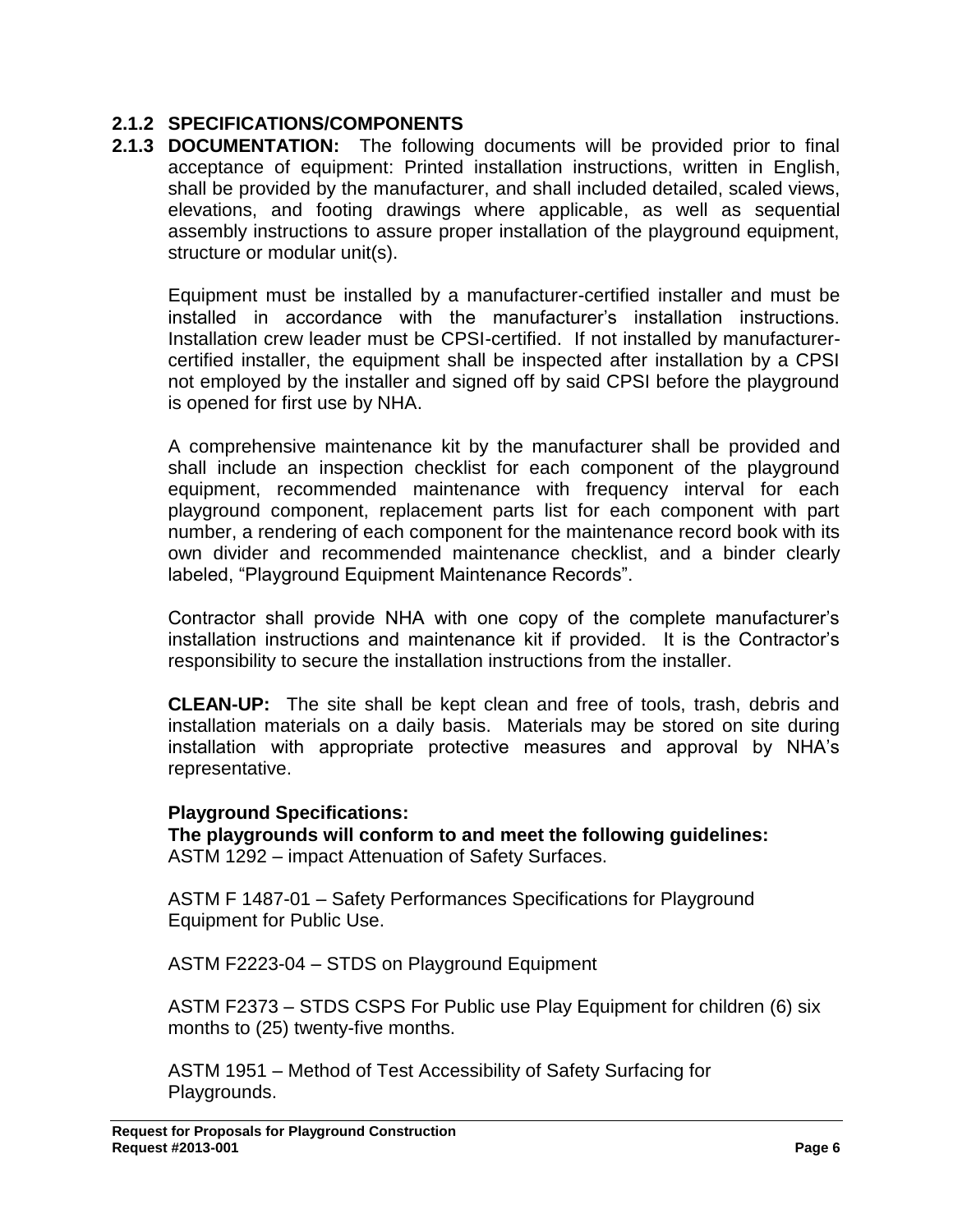# **2.1.2 SPECIFICATIONS/COMPONENTS**

**2.1.3 DOCUMENTATION:** The following documents will be provided prior to final acceptance of equipment: Printed installation instructions, written in English, shall be provided by the manufacturer, and shall included detailed, scaled views, elevations, and footing drawings where applicable, as well as sequential assembly instructions to assure proper installation of the playground equipment, structure or modular unit(s).

Equipment must be installed by a manufacturer-certified installer and must be installed in accordance with the manufacturer's installation instructions. Installation crew leader must be CPSI-certified. If not installed by manufacturercertified installer, the equipment shall be inspected after installation by a CPSI not employed by the installer and signed off by said CPSI before the playground is opened for first use by NHA.

A comprehensive maintenance kit by the manufacturer shall be provided and shall include an inspection checklist for each component of the playground equipment, recommended maintenance with frequency interval for each playground component, replacement parts list for each component with part number, a rendering of each component for the maintenance record book with its own divider and recommended maintenance checklist, and a binder clearly labeled, "Playground Equipment Maintenance Records".

Contractor shall provide NHA with one copy of the complete manufacturer's installation instructions and maintenance kit if provided. It is the Contractor's responsibility to secure the installation instructions from the installer.

**CLEAN-UP:** The site shall be kept clean and free of tools, trash, debris and installation materials on a daily basis. Materials may be stored on site during installation with appropriate protective measures and approval by NHA's representative.

## **Playground Specifications:**

**The playgrounds will conform to and meet the following guidelines:** ASTM 1292 – impact Attenuation of Safety Surfaces.

ASTM F 1487-01 – Safety Performances Specifications for Playground Equipment for Public Use.

ASTM F2223-04 – STDS on Playground Equipment

ASTM F2373 – STDS CSPS For Public use Play Equipment for children (6) six months to (25) twenty-five months.

ASTM 1951 – Method of Test Accessibility of Safety Surfacing for Playgrounds.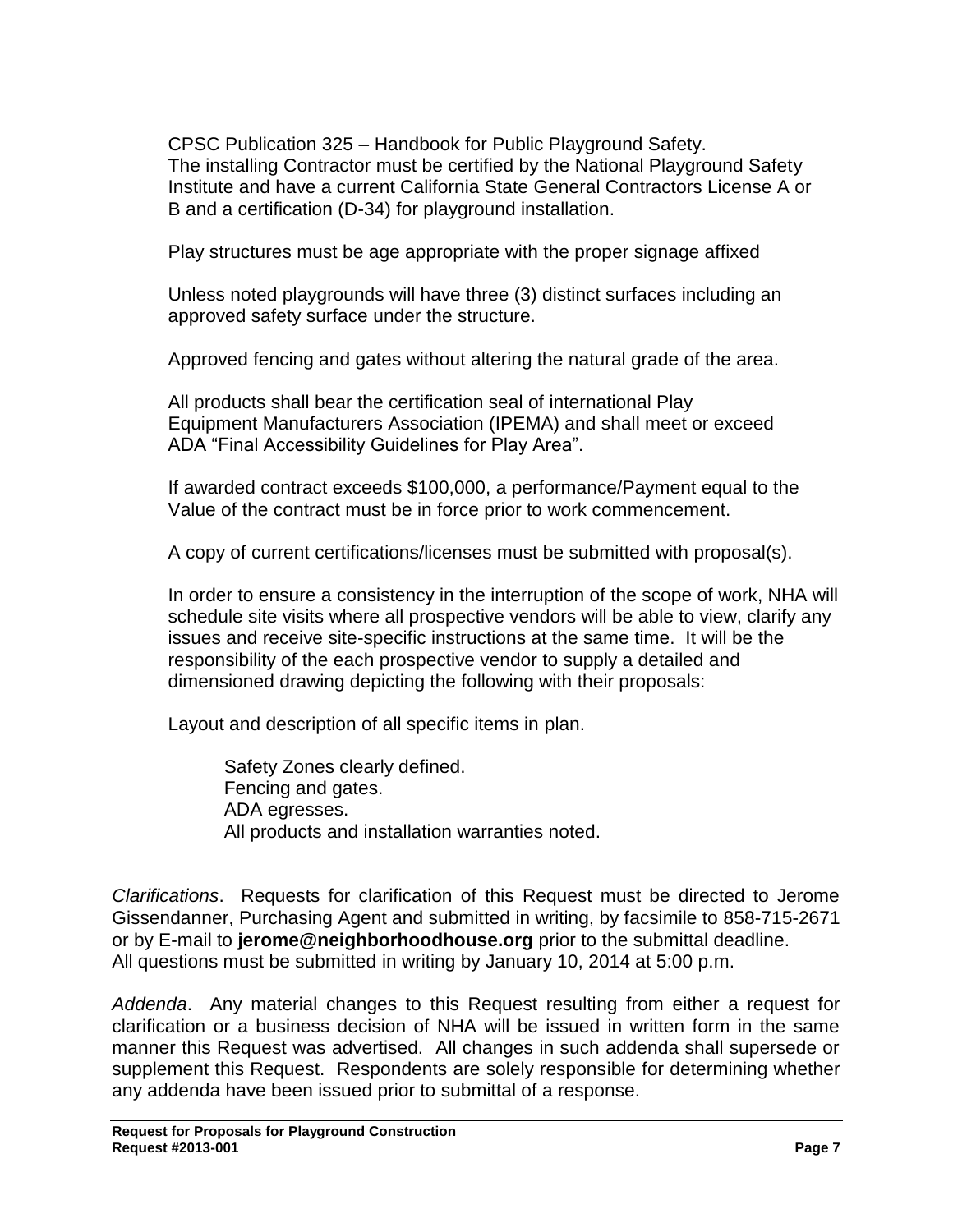CPSC Publication 325 – Handbook for Public Playground Safety. The installing Contractor must be certified by the National Playground Safety Institute and have a current California State General Contractors License A or B and a certification (D-34) for playground installation.

Play structures must be age appropriate with the proper signage affixed

Unless noted playgrounds will have three (3) distinct surfaces including an approved safety surface under the structure.

Approved fencing and gates without altering the natural grade of the area.

All products shall bear the certification seal of international Play Equipment Manufacturers Association (IPEMA) and shall meet or exceed ADA "Final Accessibility Guidelines for Play Area".

If awarded contract exceeds \$100,000, a performance/Payment equal to the Value of the contract must be in force prior to work commencement.

A copy of current certifications/licenses must be submitted with proposal(s).

In order to ensure a consistency in the interruption of the scope of work, NHA will schedule site visits where all prospective vendors will be able to view, clarify any issues and receive site-specific instructions at the same time. It will be the responsibility of the each prospective vendor to supply a detailed and dimensioned drawing depicting the following with their proposals:

Layout and description of all specific items in plan.

Safety Zones clearly defined. Fencing and gates. ADA egresses. All products and installation warranties noted.

*Clarifications*. Requests for clarification of this Request must be directed to Jerome Gissendanner, Purchasing Agent and submitted in writing, by facsimile to 858-715-2671 or by E-mail to **jerome@neighborhoodhouse.org** prior to the submittal deadline. All questions must be submitted in writing by January 10, 2014 at 5:00 p.m.

*Addenda*. Any material changes to this Request resulting from either a request for clarification or a business decision of NHA will be issued in written form in the same manner this Request was advertised. All changes in such addenda shall supersede or supplement this Request. Respondents are solely responsible for determining whether any addenda have been issued prior to submittal of a response.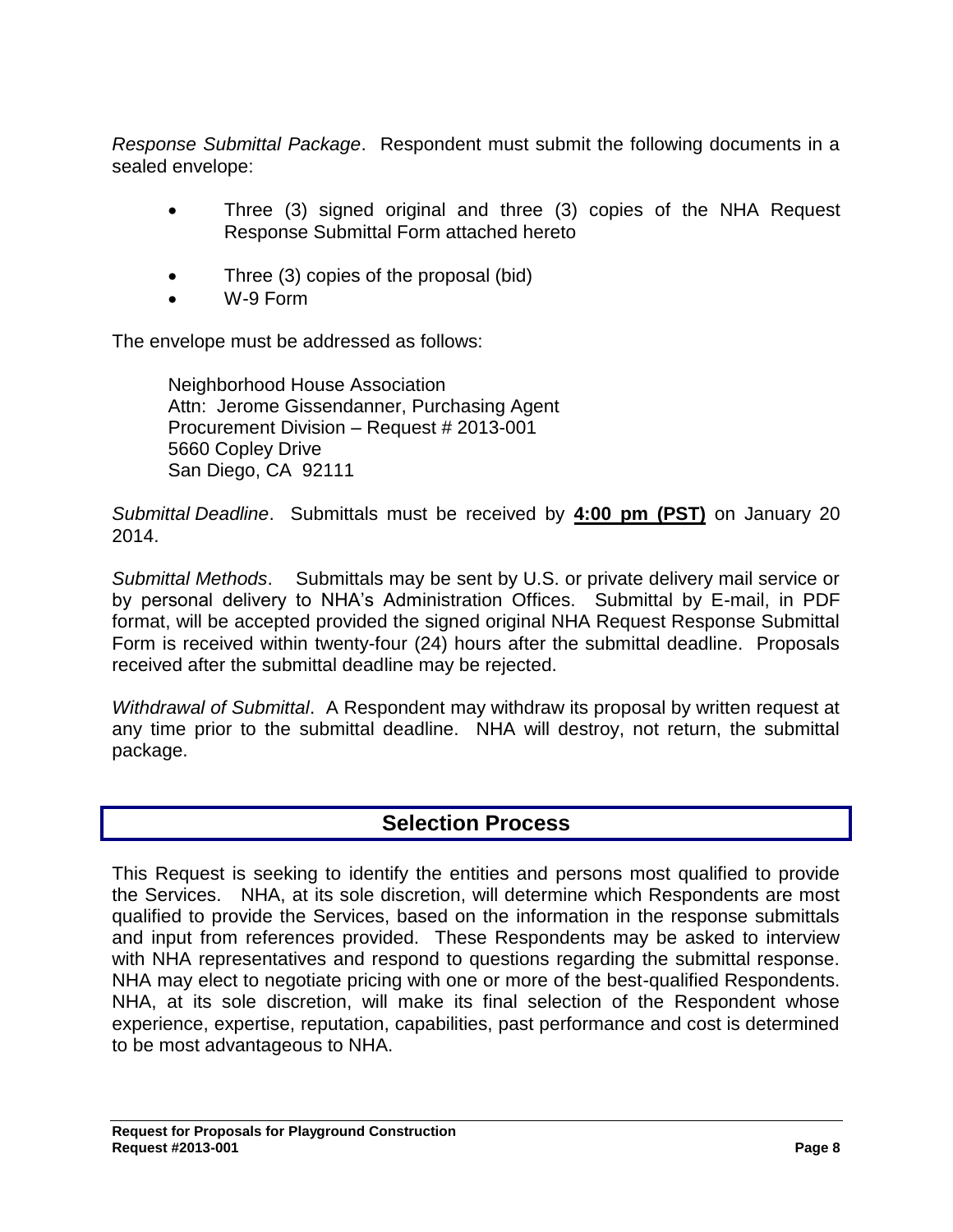*Response Submittal Package*. Respondent must submit the following documents in a sealed envelope:

- Three (3) signed original and three (3) copies of the NHA Request Response Submittal Form attached hereto
- Three (3) copies of the proposal (bid)
- W-9 Form

The envelope must be addressed as follows:

Neighborhood House Association Attn: Jerome Gissendanner, Purchasing Agent Procurement Division – Request # 2013-001 5660 Copley Drive San Diego, CA 92111

*Submittal Deadline*. Submittals must be received by **4:00 pm (PST)** on January 20 2014.

*Submittal Methods*. Submittals may be sent by U.S. or private delivery mail service or by personal delivery to NHA's Administration Offices. Submittal by E-mail, in PDF format, will be accepted provided the signed original NHA Request Response Submittal Form is received within twenty-four (24) hours after the submittal deadline. Proposals received after the submittal deadline may be rejected.

*Withdrawal of Submittal*. A Respondent may withdraw its proposal by written request at any time prior to the submittal deadline. NHA will destroy, not return, the submittal package.

# **Selection Process**

This Request is seeking to identify the entities and persons most qualified to provide the Services. NHA, at its sole discretion, will determine which Respondents are most qualified to provide the Services, based on the information in the response submittals and input from references provided. These Respondents may be asked to interview with NHA representatives and respond to questions regarding the submittal response. NHA may elect to negotiate pricing with one or more of the best-qualified Respondents. NHA, at its sole discretion, will make its final selection of the Respondent whose experience, expertise, reputation, capabilities, past performance and cost is determined to be most advantageous to NHA.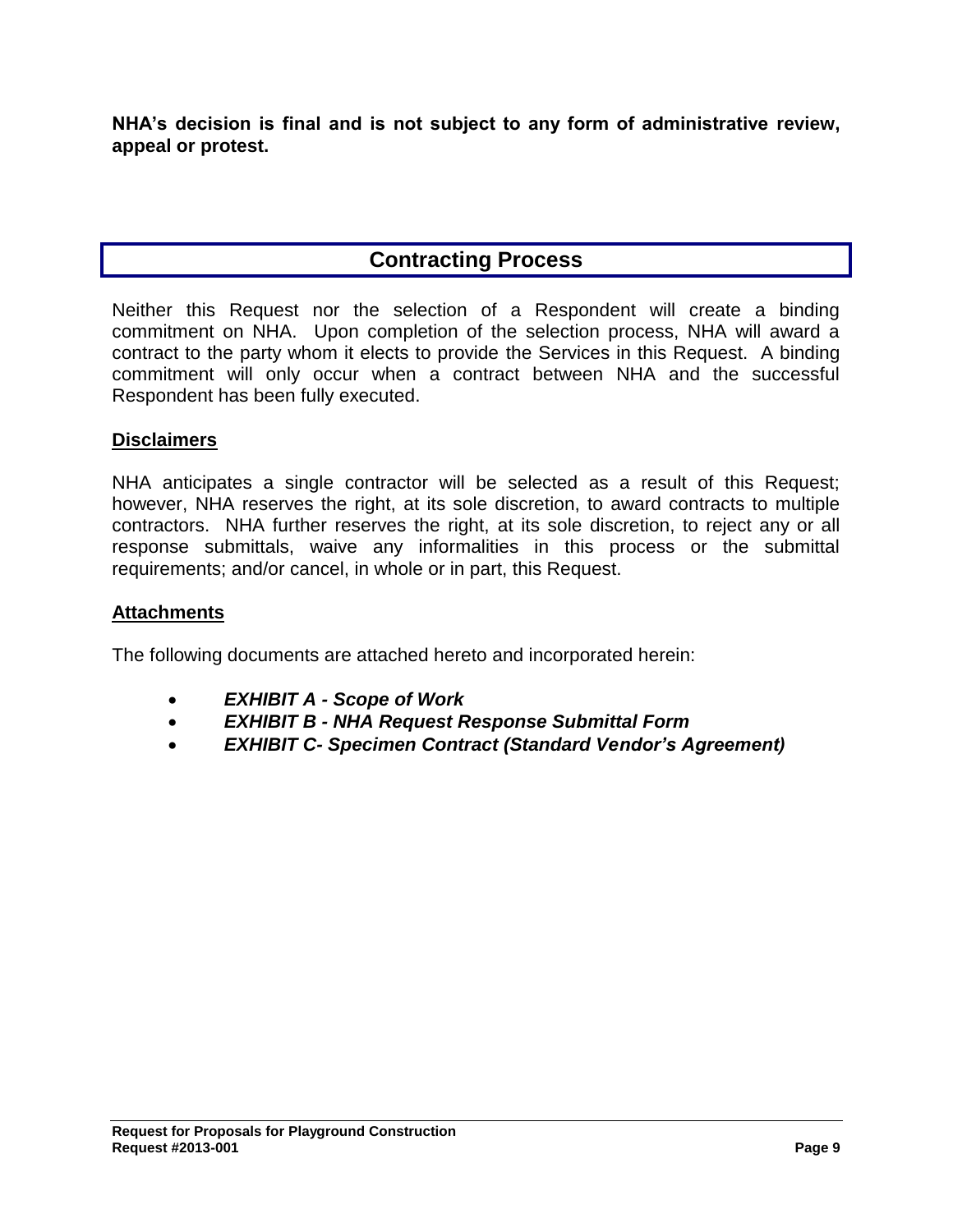**NHA's decision is final and is not subject to any form of administrative review, appeal or protest.**

# **Contracting Process**

Neither this Request nor the selection of a Respondent will create a binding commitment on NHA. Upon completion of the selection process, NHA will award a contract to the party whom it elects to provide the Services in this Request. A binding commitment will only occur when a contract between NHA and the successful Respondent has been fully executed.

## **Disclaimers**

NHA anticipates a single contractor will be selected as a result of this Request; however, NHA reserves the right, at its sole discretion, to award contracts to multiple contractors. NHA further reserves the right, at its sole discretion, to reject any or all response submittals, waive any informalities in this process or the submittal requirements; and/or cancel, in whole or in part, this Request.

## **Attachments**

The following documents are attached hereto and incorporated herein:

- *EXHIBIT A - Scope of Work*
- *EXHIBIT B - NHA Request Response Submittal Form*
- *EXHIBIT C- Specimen Contract (Standard Vendor's Agreement)*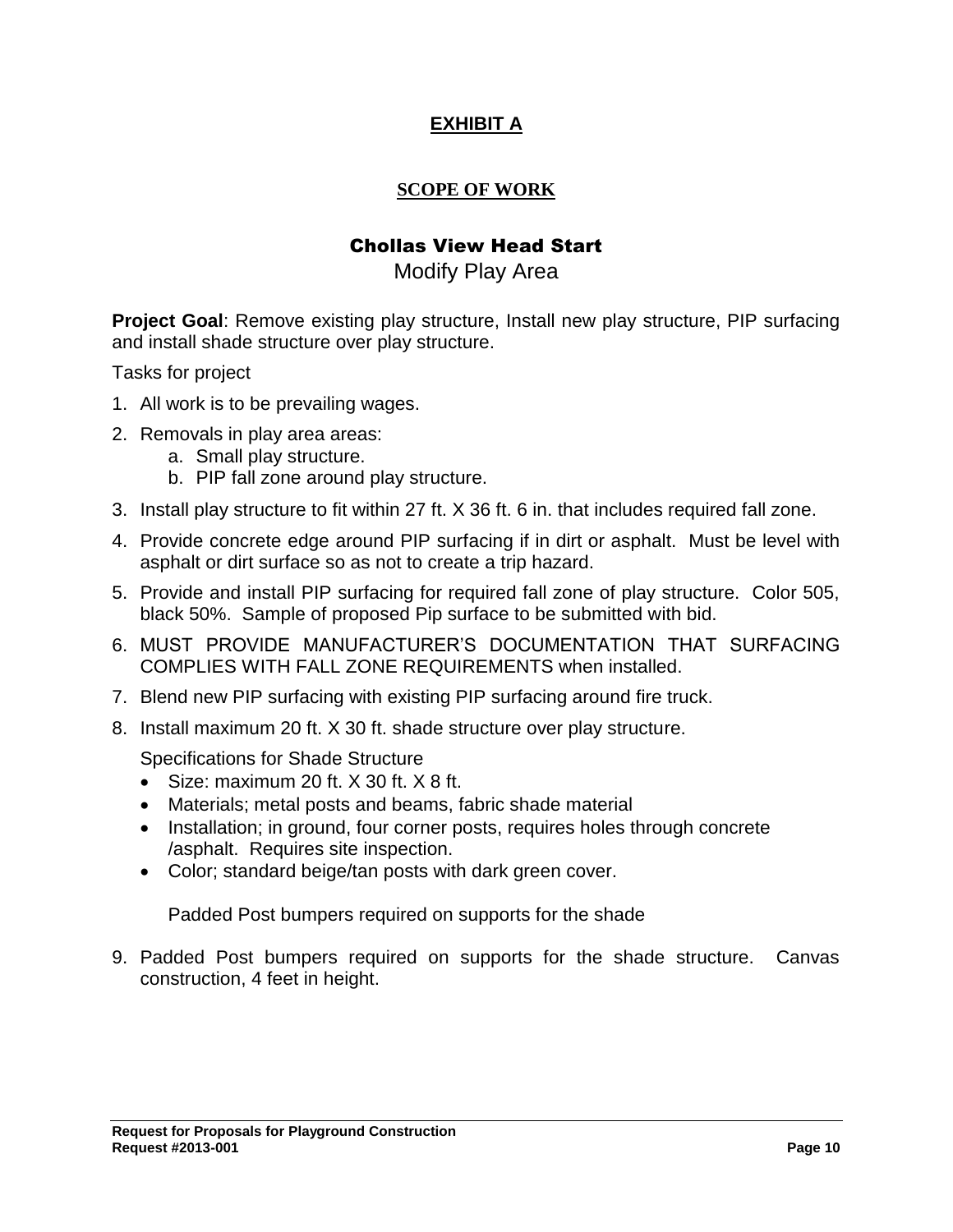# **EXHIBIT A**

## **SCOPE OF WORK**

# Chollas View Head Start

# Modify Play Area

**Project Goal**: Remove existing play structure, Install new play structure, PIP surfacing and install shade structure over play structure.

Tasks for project

- 1. All work is to be prevailing wages.
- 2. Removals in play area areas:
	- a. Small play structure.
	- b. PIP fall zone around play structure.
- 3. Install play structure to fit within 27 ft. X 36 ft. 6 in. that includes required fall zone.
- 4. Provide concrete edge around PIP surfacing if in dirt or asphalt. Must be level with asphalt or dirt surface so as not to create a trip hazard.
- 5. Provide and install PIP surfacing for required fall zone of play structure. Color 505, black 50%. Sample of proposed Pip surface to be submitted with bid.
- 6. MUST PROVIDE MANUFACTURER'S DOCUMENTATION THAT SURFACING COMPLIES WITH FALL ZONE REQUIREMENTS when installed.
- 7. Blend new PIP surfacing with existing PIP surfacing around fire truck.
- 8. Install maximum 20 ft. X 30 ft. shade structure over play structure.

Specifications for Shade Structure

- $\bullet$  Size: maximum 20 ft. X 30 ft. X 8 ft.
- Materials; metal posts and beams, fabric shade material
- Installation; in ground, four corner posts, requires holes through concrete /asphalt. Requires site inspection.
- Color; standard beige/tan posts with dark green cover.

Padded Post bumpers required on supports for the shade

9. Padded Post bumpers required on supports for the shade structure. Canvas construction, 4 feet in height.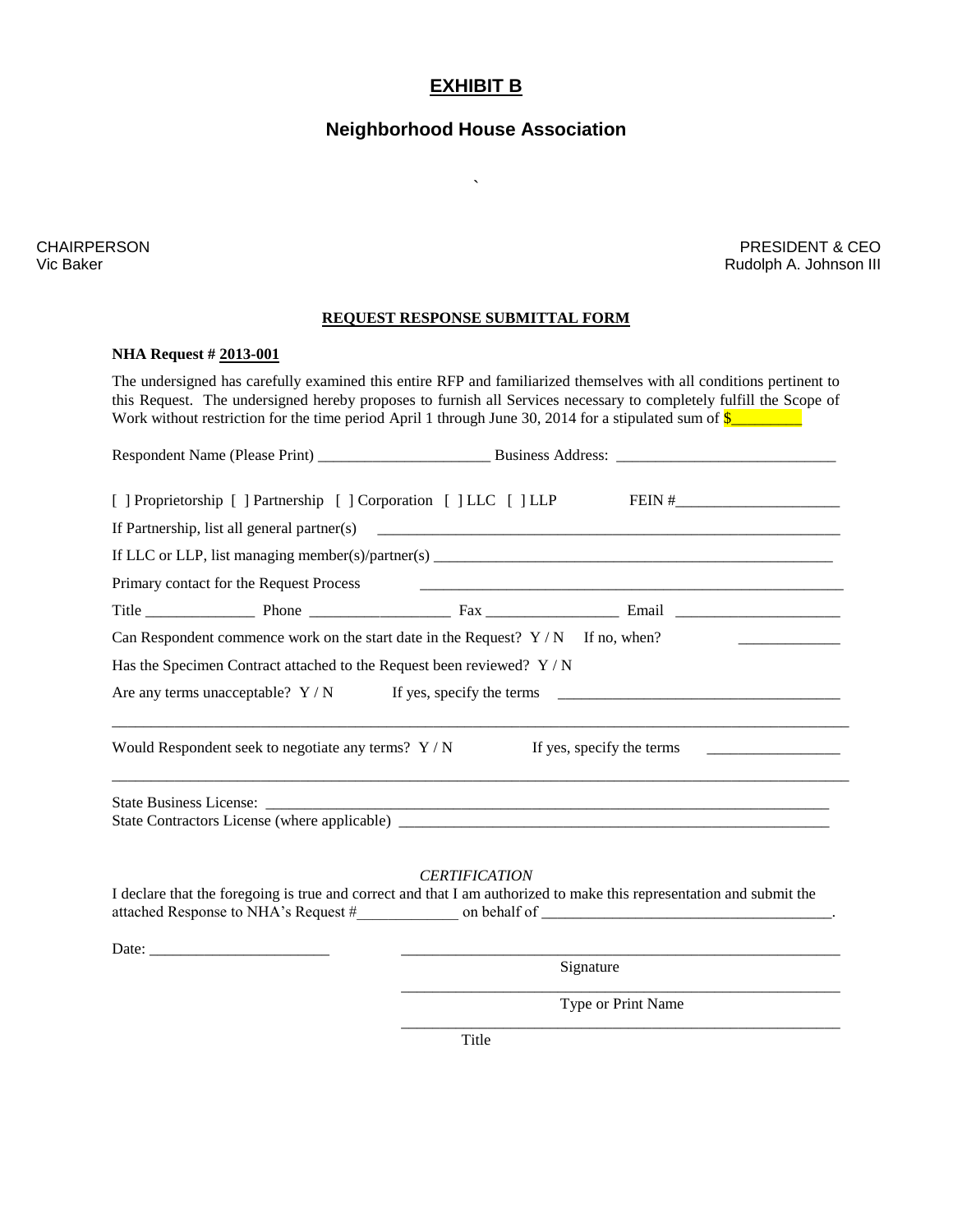## **EXHIBIT B**

# **Neighborhood House Association**

 $\lambda$ 

CHAIRPERSON Vic Baker

PRESIDENT & CEO Rudolph A. Johnson III

### **REQUEST RESPONSE SUBMITTAL FORM**

#### **NHA Request # 2013-001**

The undersigned has carefully examined this entire RFP and familiarized themselves with all conditions pertinent to this Request. The undersigned hereby proposes to furnish all Services necessary to completely fulfill the Scope of Work without restriction for the time period April 1 through June 30, 2014 for a stipulated sum of  $\frac{\sqrt{2}}{2}$ 

| [   Proprietorship     Partnership     Corporation     LLC     LLP FEIN #                                            |                      |                           |  |
|----------------------------------------------------------------------------------------------------------------------|----------------------|---------------------------|--|
|                                                                                                                      |                      |                           |  |
|                                                                                                                      |                      |                           |  |
| Primary contact for the Request Process                                                                              |                      |                           |  |
|                                                                                                                      |                      |                           |  |
| Can Respondent commence work on the start date in the Request? $Y/N$ If no, when?                                    |                      |                           |  |
| Has the Specimen Contract attached to the Request been reviewed? Y / N                                               |                      |                           |  |
| Are any terms unacceptable? $Y/N$ If yes, specify the terms                                                          |                      |                           |  |
| Would Respondent seek to negotiate any terms? $Y/N$                                                                  |                      | If yes, specify the terms |  |
|                                                                                                                      |                      |                           |  |
|                                                                                                                      | <b>CERTIFICATION</b> |                           |  |
| I declare that the foregoing is true and correct and that I am authorized to make this representation and submit the |                      |                           |  |
|                                                                                                                      |                      |                           |  |
|                                                                                                                      |                      | Signature                 |  |
|                                                                                                                      |                      | Type or Print Name        |  |

\_\_\_\_\_\_\_\_\_\_\_\_\_\_\_\_\_\_\_\_\_\_\_\_\_\_\_\_\_\_\_\_\_\_\_\_\_\_\_\_\_\_\_\_\_\_\_\_\_\_\_\_\_\_\_\_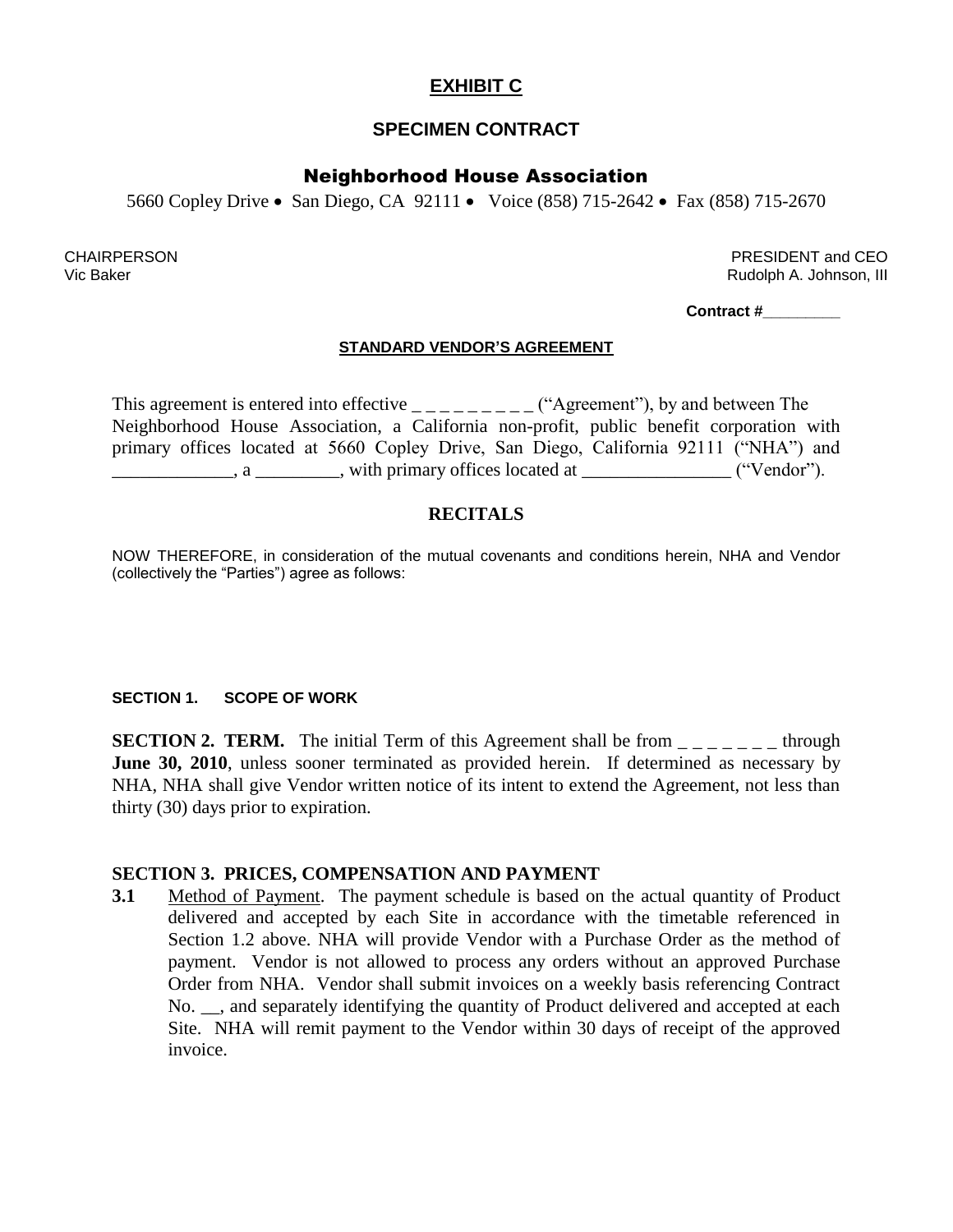# **EXHIBIT C**

## **SPECIMEN CONTRACT**

## Neighborhood House Association

5660 Copley Drive • San Diego, CA 92111 • Voice (858) 715-2642 • Fax (858) 715-2670

**CHAIRPERSON** Vic Baker

PRESIDENT and CEO Rudolph A. Johnson, III

**Contract #\_\_\_\_\_\_\_\_\_**

## **STANDARD VENDOR'S AGREEMENT**

This agreement is entered into effective  $\frac{1}{2}$   $\frac{1}{2}$   $\frac{1}{2}$  ("Agreement"), by and between The Neighborhood House Association, a California non-profit, public benefit corporation with primary offices located at 5660 Copley Drive, San Diego, California 92111 ("NHA") and  $\ldots$ , a  $\ldots$ , with primary offices located at  $\ldots$ , ("Vendor").

## **RECITALS**

NOW THEREFORE, in consideration of the mutual covenants and conditions herein, NHA and Vendor (collectively the "Parties") agree as follows:

## **SECTION 1. SCOPE OF WORK**

**SECTION 2. TERM.** The initial Term of this Agreement shall be from  $\frac{1}{1-\frac{1}{1-\frac{1}{1-\frac{1}{1-\frac{1}{1-\frac{1}{1-\frac{1}{1-\frac{1}{1-\frac{1}{1-\frac{1}{1-\frac{1}{1-\frac{1}{1-\frac{1}{1-\frac{1}{1-\frac{1}{1-\frac{1}{1-\frac{1}{1-\frac{1}{1-\frac{1}{1-\frac{1}{1-\frac{1}{1-\frac{1}{1-\frac{1}{1-\frac{1}{1-\frac{1}{1-\frac$ **June 30, 2010**, unless sooner terminated as provided herein. If determined as necessary by NHA, NHA shall give Vendor written notice of its intent to extend the Agreement, not less than thirty (30) days prior to expiration.

## **SECTION 3. PRICES, COMPENSATION AND PAYMENT**

**3.1** Method of Payment. The payment schedule is based on the actual quantity of Product delivered and accepted by each Site in accordance with the timetable referenced in Section 1.2 above. NHA will provide Vendor with a Purchase Order as the method of payment. Vendor is not allowed to process any orders without an approved Purchase Order from NHA. Vendor shall submit invoices on a weekly basis referencing Contract No. \_\_, and separately identifying the quantity of Product delivered and accepted at each Site. NHA will remit payment to the Vendor within 30 days of receipt of the approved invoice.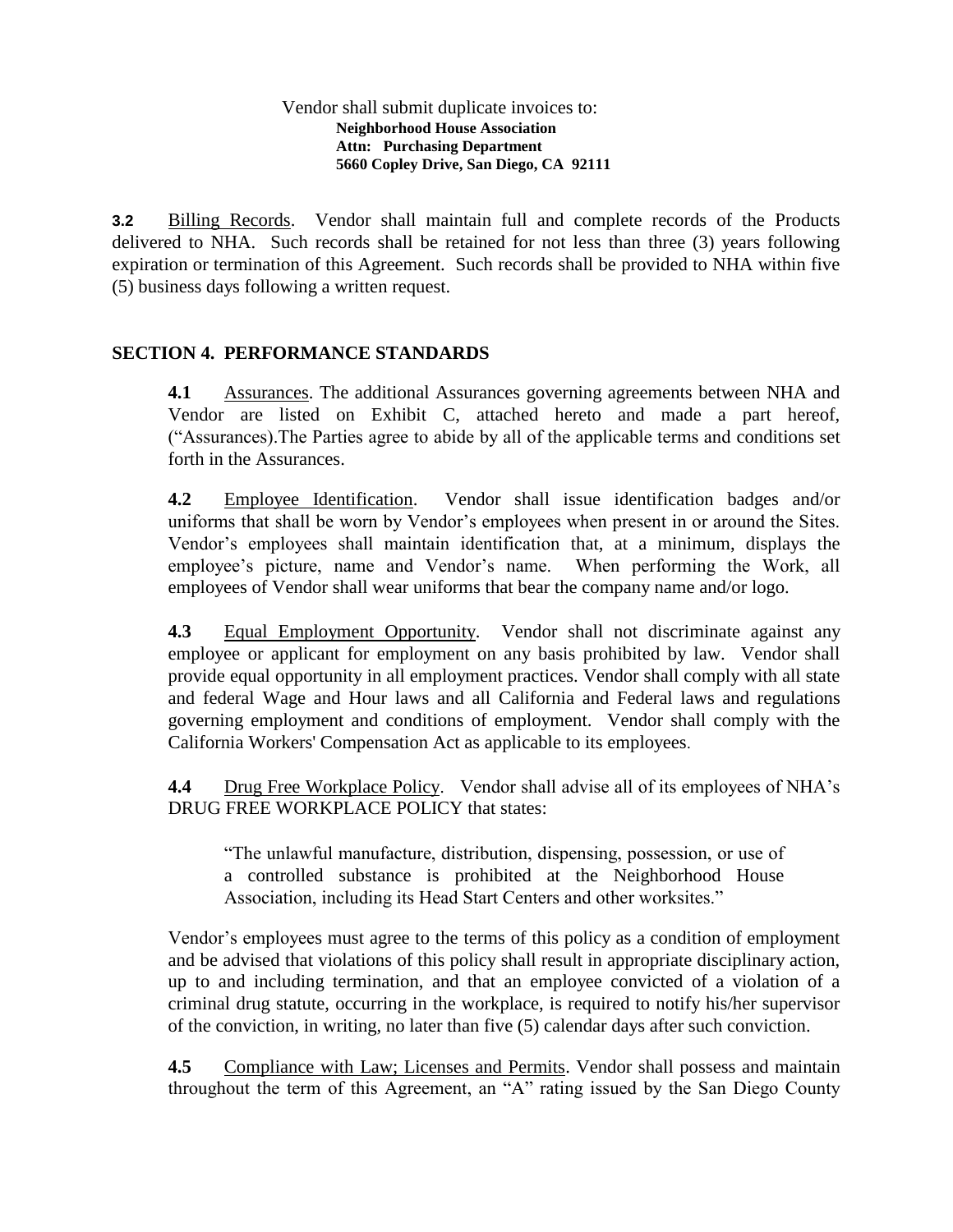### Vendor shall submit duplicate invoices to: **Neighborhood House Association Attn: Purchasing Department 5660 Copley Drive, San Diego, CA 92111**

**3.2** Billing Records. Vendor shall maintain full and complete records of the Products delivered to NHA. Such records shall be retained for not less than three (3) years following expiration or termination of this Agreement. Such records shall be provided to NHA within five (5) business days following a written request.

## **SECTION 4. PERFORMANCE STANDARDS**

**4.1** Assurances. The additional Assurances governing agreements between NHA and Vendor are listed on Exhibit C, attached hereto and made a part hereof, ("Assurances).The Parties agree to abide by all of the applicable terms and conditions set forth in the Assurances.

**4.2** Employee Identification. Vendor shall issue identification badges and/or uniforms that shall be worn by Vendor's employees when present in or around the Sites. Vendor's employees shall maintain identification that, at a minimum, displays the employee's picture, name and Vendor's name. When performing the Work, all employees of Vendor shall wear uniforms that bear the company name and/or logo.

**4.3** Equal Employment Opportunity. Vendor shall not discriminate against any employee or applicant for employment on any basis prohibited by law. Vendor shall provide equal opportunity in all employment practices. Vendor shall comply with all state and federal Wage and Hour laws and all California and Federal laws and regulations governing employment and conditions of employment. Vendor shall comply with the California Workers' Compensation Act as applicable to its employees.

**4.4** Drug Free Workplace Policy. Vendor shall advise all of its employees of NHA's DRUG FREE WORKPLACE POLICY that states:

"The unlawful manufacture, distribution, dispensing, possession, or use of a controlled substance is prohibited at the Neighborhood House Association, including its Head Start Centers and other worksites."

Vendor's employees must agree to the terms of this policy as a condition of employment and be advised that violations of this policy shall result in appropriate disciplinary action, up to and including termination, and that an employee convicted of a violation of a criminal drug statute, occurring in the workplace, is required to notify his/her supervisor of the conviction, in writing, no later than five (5) calendar days after such conviction.

**4.5** Compliance with Law; Licenses and Permits. Vendor shall possess and maintain throughout the term of this Agreement, an "A" rating issued by the San Diego County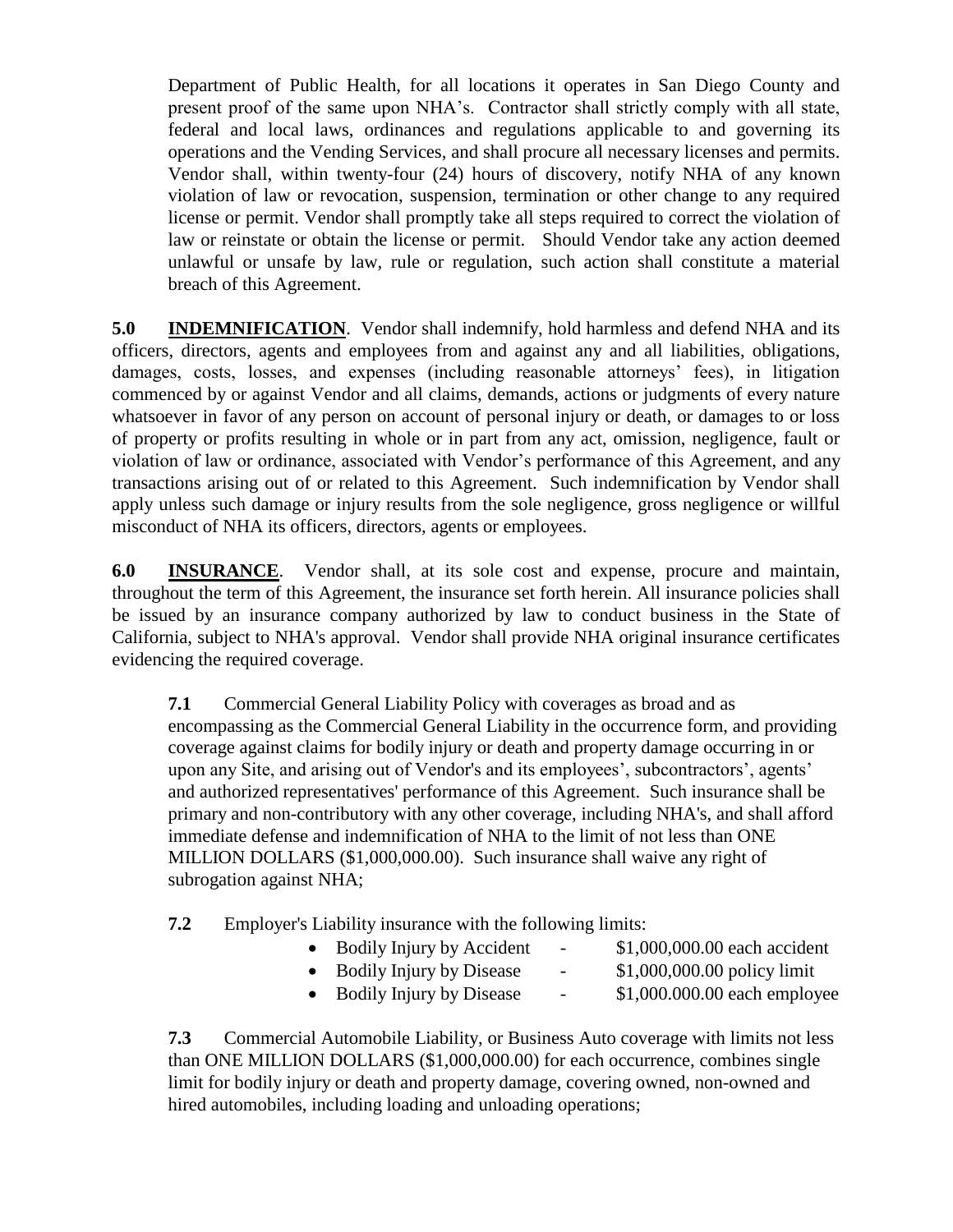Department of Public Health, for all locations it operates in San Diego County and present proof of the same upon NHA's. Contractor shall strictly comply with all state, federal and local laws, ordinances and regulations applicable to and governing its operations and the Vending Services, and shall procure all necessary licenses and permits. Vendor shall, within twenty-four (24) hours of discovery, notify NHA of any known violation of law or revocation, suspension, termination or other change to any required license or permit. Vendor shall promptly take all steps required to correct the violation of law or reinstate or obtain the license or permit. Should Vendor take any action deemed unlawful or unsafe by law, rule or regulation, such action shall constitute a material breach of this Agreement.

**5.0 INDEMNIFICATION**. Vendor shall indemnify, hold harmless and defend NHA and its officers, directors, agents and employees from and against any and all liabilities, obligations, damages, costs, losses, and expenses (including reasonable attorneys' fees), in litigation commenced by or against Vendor and all claims, demands, actions or judgments of every nature whatsoever in favor of any person on account of personal injury or death, or damages to or loss of property or profits resulting in whole or in part from any act, omission, negligence, fault or violation of law or ordinance, associated with Vendor's performance of this Agreement, and any transactions arising out of or related to this Agreement. Such indemnification by Vendor shall apply unless such damage or injury results from the sole negligence, gross negligence or willful misconduct of NHA its officers, directors, agents or employees.

**6.0 INSURANCE**. Vendor shall, at its sole cost and expense, procure and maintain, throughout the term of this Agreement, the insurance set forth herein. All insurance policies shall be issued by an insurance company authorized by law to conduct business in the State of California, subject to NHA's approval. Vendor shall provide NHA original insurance certificates evidencing the required coverage.

**7.1** Commercial General Liability Policy with coverages as broad and as encompassing as the Commercial General Liability in the occurrence form, and providing coverage against claims for bodily injury or death and property damage occurring in or upon any Site, and arising out of Vendor's and its employees', subcontractors', agents' and authorized representatives' performance of this Agreement. Such insurance shall be primary and non-contributory with any other coverage, including NHA's, and shall afford immediate defense and indemnification of NHA to the limit of not less than ONE MILLION DOLLARS (\$1,000,000.00). Such insurance shall waive any right of subrogation against NHA;

- **7.2** Employer's Liability insurance with the following limits:
	- Bodily Injury by Accident \$1,000,000.00 each accident
		-
	- Bodily Injury by Disease \$1,000,000.00 policy limit
		-
	- Bodily Injury by Disease \$1,000.000.00 each employee
- 

**7.3** Commercial Automobile Liability, or Business Auto coverage with limits not less than ONE MILLION DOLLARS (\$1,000,000.00) for each occurrence, combines single limit for bodily injury or death and property damage, covering owned, non-owned and hired automobiles, including loading and unloading operations;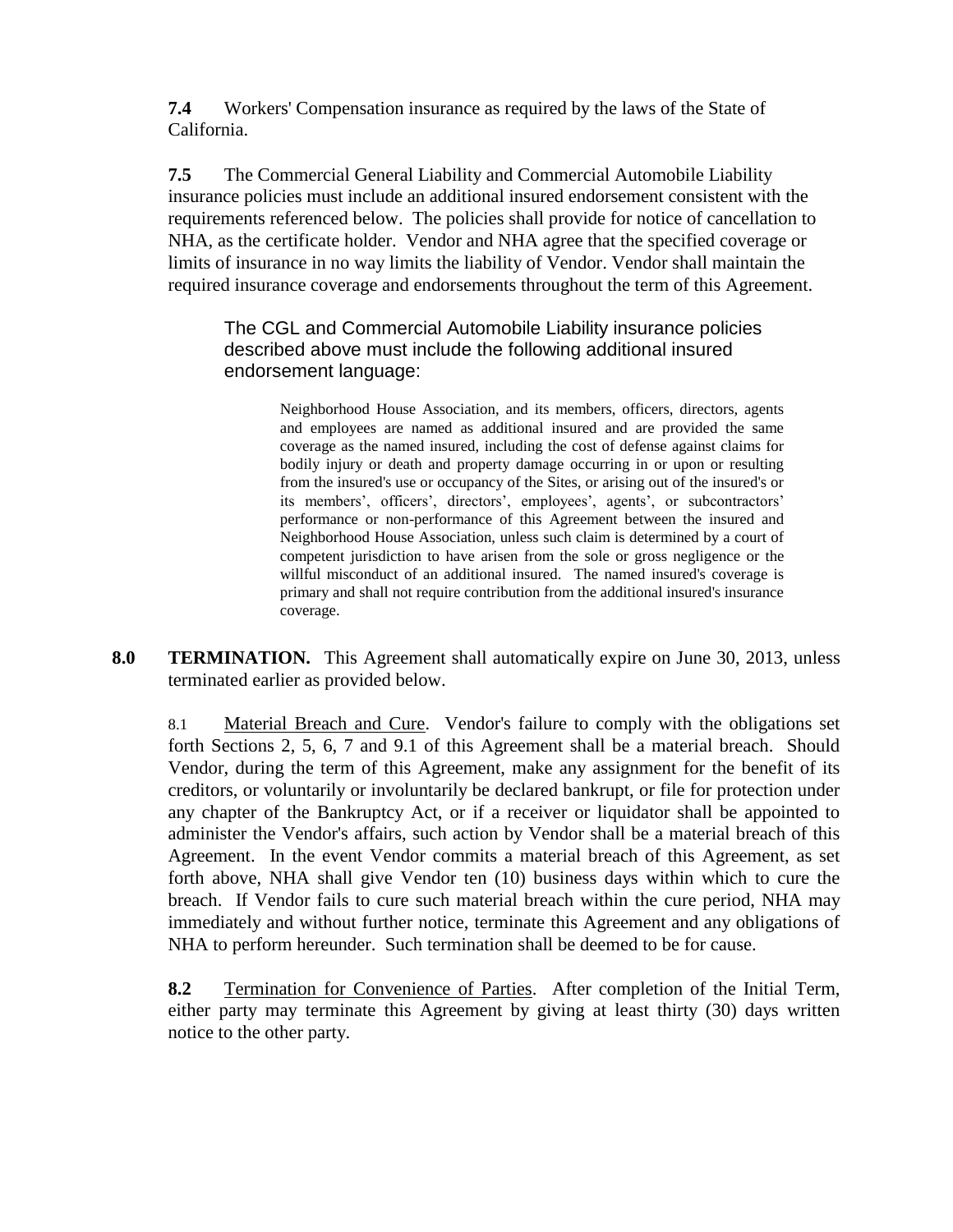**7.4** Workers' Compensation insurance as required by the laws of the State of California.

**7.5** The Commercial General Liability and Commercial Automobile Liability insurance policies must include an additional insured endorsement consistent with the requirements referenced below. The policies shall provide for notice of cancellation to NHA, as the certificate holder. Vendor and NHA agree that the specified coverage or limits of insurance in no way limits the liability of Vendor. Vendor shall maintain the required insurance coverage and endorsements throughout the term of this Agreement.

The CGL and Commercial Automobile Liability insurance policies described above must include the following additional insured endorsement language:

> Neighborhood House Association, and its members, officers, directors, agents and employees are named as additional insured and are provided the same coverage as the named insured, including the cost of defense against claims for bodily injury or death and property damage occurring in or upon or resulting from the insured's use or occupancy of the Sites, or arising out of the insured's or its members', officers', directors', employees', agents', or subcontractors' performance or non-performance of this Agreement between the insured and Neighborhood House Association, unless such claim is determined by a court of competent jurisdiction to have arisen from the sole or gross negligence or the willful misconduct of an additional insured. The named insured's coverage is primary and shall not require contribution from the additional insured's insurance coverage.

**8.0 TERMINATION.** This Agreement shall automatically expire on June 30, 2013, unless terminated earlier as provided below.

8.1 Material Breach and Cure. Vendor's failure to comply with the obligations set forth Sections 2, 5, 6, 7 and 9.1 of this Agreement shall be a material breach. Should Vendor, during the term of this Agreement, make any assignment for the benefit of its creditors, or voluntarily or involuntarily be declared bankrupt, or file for protection under any chapter of the Bankruptcy Act, or if a receiver or liquidator shall be appointed to administer the Vendor's affairs, such action by Vendor shall be a material breach of this Agreement. In the event Vendor commits a material breach of this Agreement, as set forth above, NHA shall give Vendor ten (10) business days within which to cure the breach. If Vendor fails to cure such material breach within the cure period, NHA may immediately and without further notice, terminate this Agreement and any obligations of NHA to perform hereunder. Such termination shall be deemed to be for cause.

**8.2** Termination for Convenience of Parties. After completion of the Initial Term, either party may terminate this Agreement by giving at least thirty (30) days written notice to the other party.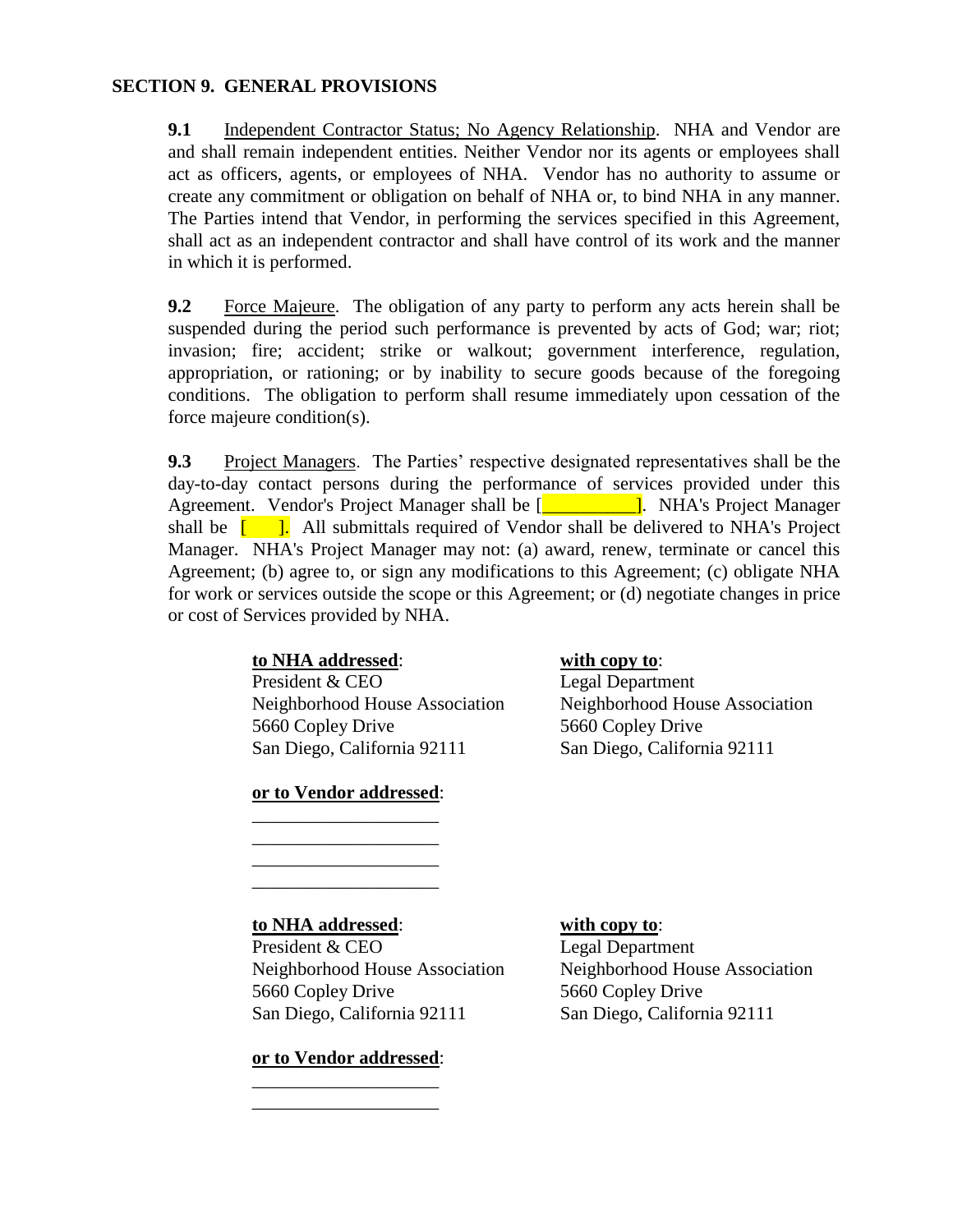## **SECTION 9. GENERAL PROVISIONS**

**9.1** Independent Contractor Status; No Agency Relationship. NHA and Vendor are and shall remain independent entities. Neither Vendor nor its agents or employees shall act as officers, agents, or employees of NHA. Vendor has no authority to assume or create any commitment or obligation on behalf of NHA or, to bind NHA in any manner. The Parties intend that Vendor, in performing the services specified in this Agreement, shall act as an independent contractor and shall have control of its work and the manner in which it is performed.

**9.2** Force Majeure. The obligation of any party to perform any acts herein shall be suspended during the period such performance is prevented by acts of God; war; riot; invasion; fire; accident; strike or walkout; government interference, regulation, appropriation, or rationing; or by inability to secure goods because of the foregoing conditions. The obligation to perform shall resume immediately upon cessation of the force majeure condition(s).

**9.3** Project Managers. The Parties' respective designated representatives shall be the day-to-day contact persons during the performance of services provided under this Agreement. Vendor's Project Manager shall be [**will conserve also also Project Manager** shall be  $\begin{bmatrix} 1 \\ 1 \end{bmatrix}$ . All submittals required of Vendor shall be delivered to NHA's Project Manager. NHA's Project Manager may not: (a) award, renew, terminate or cancel this Agreement; (b) agree to, or sign any modifications to this Agreement; (c) obligate NHA for work or services outside the scope or this Agreement; or (d) negotiate changes in price or cost of Services provided by NHA.

## **to NHA addressed**: **with copy to**:

President & CEO Legal Department 5660 Copley Drive 5660 Copley Drive San Diego, California 92111 San Diego, California 92111

**or to Vendor addressed**: \_\_\_\_\_\_\_\_\_\_\_\_\_\_\_\_\_\_\_\_

\_\_\_\_\_\_\_\_\_\_\_\_\_\_\_\_\_\_\_\_ \_\_\_\_\_\_\_\_\_\_\_\_\_\_\_\_\_\_\_\_ \_\_\_\_\_\_\_\_\_\_\_\_\_\_\_\_\_\_\_\_

Neighborhood House Association Neighborhood House Association

## **to NHA addressed**: **with copy to**:

President & CEO Legal Department Neighborhood House Association Neighborhood House Association 5660 Copley Drive 5660 Copley Drive San Diego, California 92111 San Diego, California 92111

## **or to Vendor addressed**: \_\_\_\_\_\_\_\_\_\_\_\_\_\_\_\_\_\_\_\_

\_\_\_\_\_\_\_\_\_\_\_\_\_\_\_\_\_\_\_\_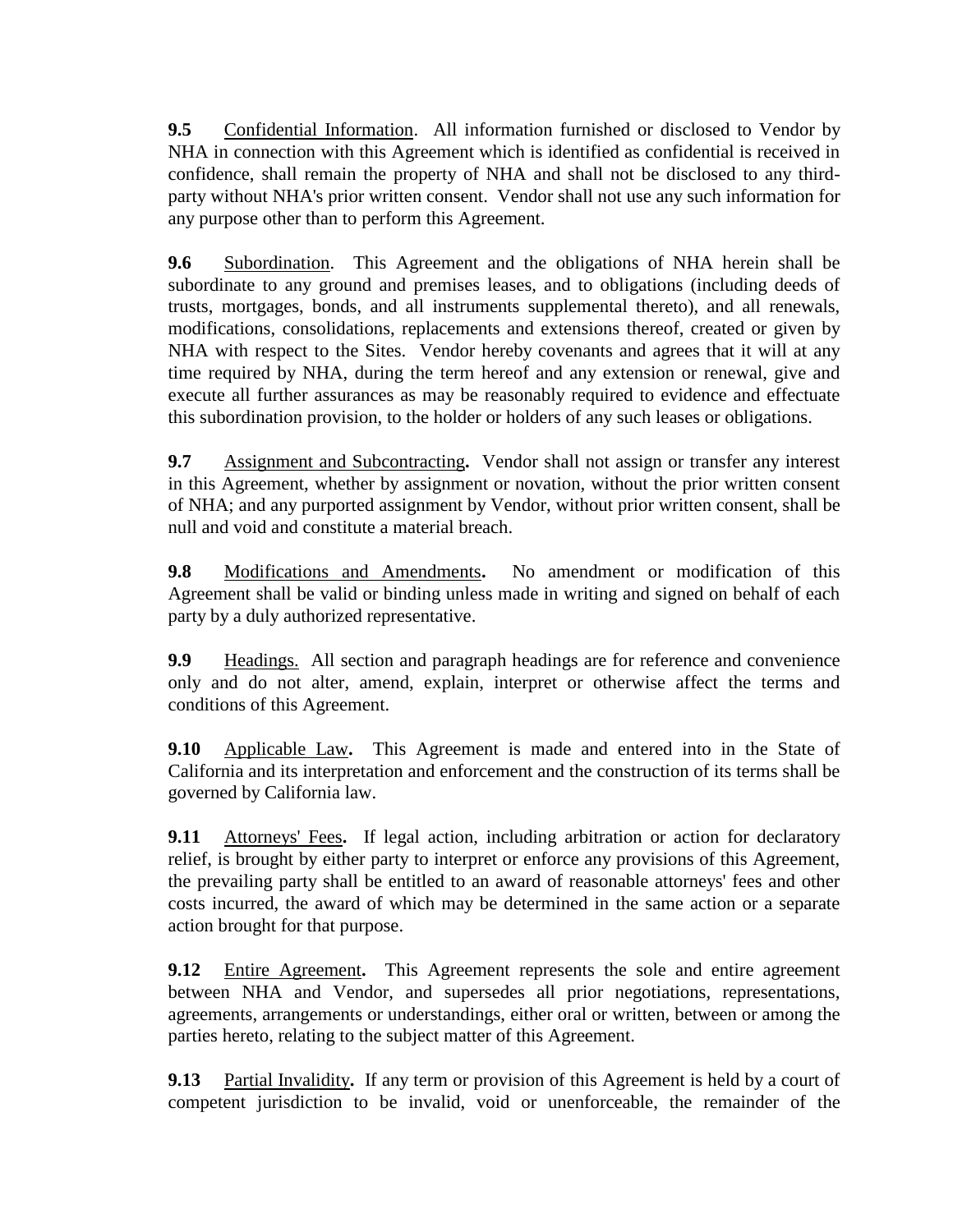**9.5** Confidential Information. All information furnished or disclosed to Vendor by NHA in connection with this Agreement which is identified as confidential is received in confidence, shall remain the property of NHA and shall not be disclosed to any thirdparty without NHA's prior written consent. Vendor shall not use any such information for any purpose other than to perform this Agreement.

**9.6** Subordination. This Agreement and the obligations of NHA herein shall be subordinate to any ground and premises leases, and to obligations (including deeds of trusts, mortgages, bonds, and all instruments supplemental thereto), and all renewals, modifications, consolidations, replacements and extensions thereof, created or given by NHA with respect to the Sites. Vendor hereby covenants and agrees that it will at any time required by NHA, during the term hereof and any extension or renewal, give and execute all further assurances as may be reasonably required to evidence and effectuate this subordination provision, to the holder or holders of any such leases or obligations.

**9.7** Assignment and Subcontracting**.** Vendor shall not assign or transfer any interest in this Agreement, whether by assignment or novation, without the prior written consent of NHA; and any purported assignment by Vendor, without prior written consent, shall be null and void and constitute a material breach.

**9.8** Modifications and Amendments**.** No amendment or modification of this Agreement shall be valid or binding unless made in writing and signed on behalf of each party by a duly authorized representative.

**9.9** Headings. All section and paragraph headings are for reference and convenience only and do not alter, amend, explain, interpret or otherwise affect the terms and conditions of this Agreement.

**9.10** Applicable Law**.** This Agreement is made and entered into in the State of California and its interpretation and enforcement and the construction of its terms shall be governed by California law.

**9.11** Attorneys' Fees. If legal action, including arbitration or action for declaratory relief, is brought by either party to interpret or enforce any provisions of this Agreement, the prevailing party shall be entitled to an award of reasonable attorneys' fees and other costs incurred, the award of which may be determined in the same action or a separate action brought for that purpose.

**9.12** Entire Agreement. This Agreement represents the sole and entire agreement between NHA and Vendor, and supersedes all prior negotiations, representations, agreements, arrangements or understandings, either oral or written, between or among the parties hereto, relating to the subject matter of this Agreement.

**9.13** Partial Invalidity**.** If any term or provision of this Agreement is held by a court of competent jurisdiction to be invalid, void or unenforceable, the remainder of the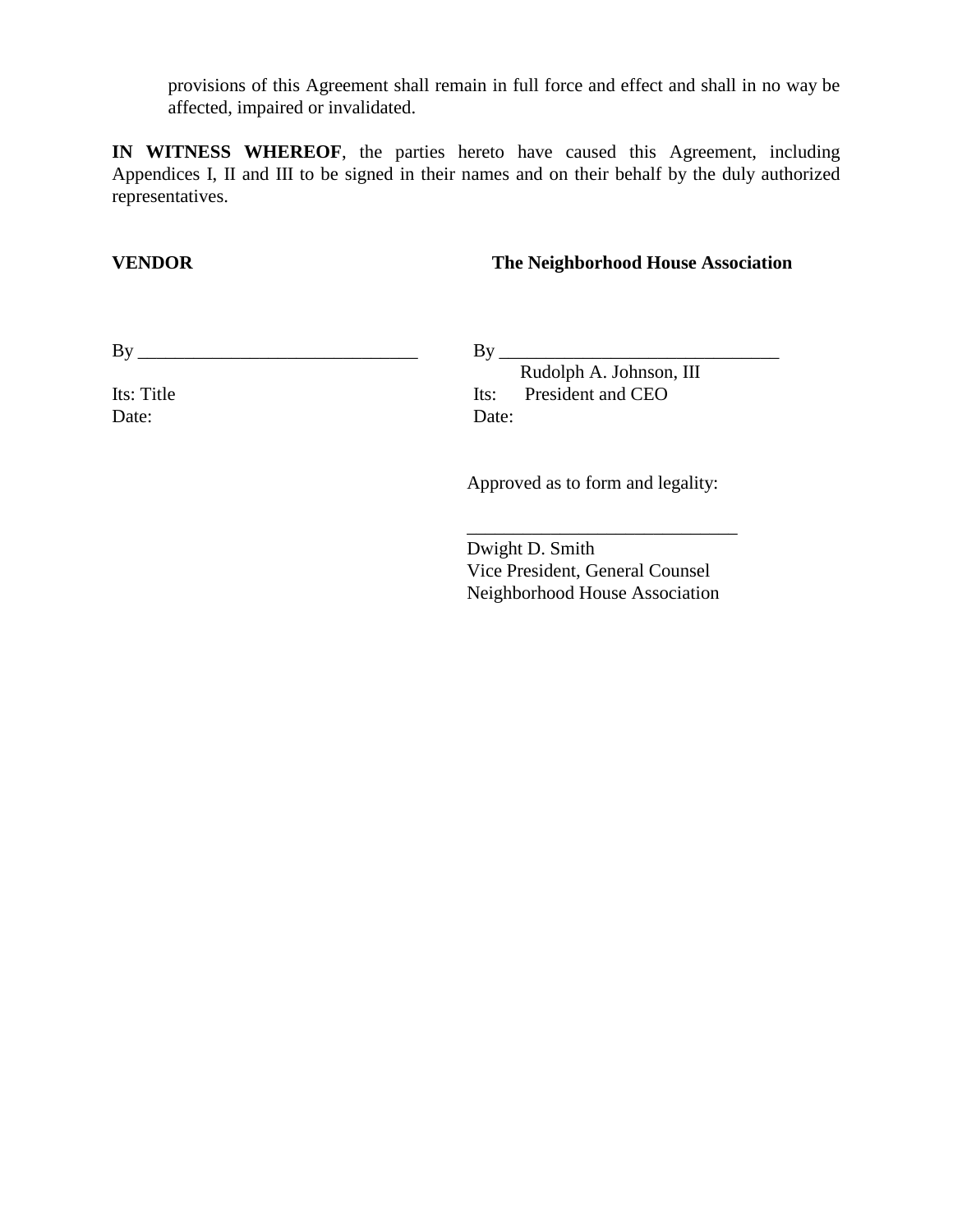provisions of this Agreement shall remain in full force and effect and shall in no way be affected, impaired or invalidated.

**IN WITNESS WHEREOF**, the parties hereto have caused this Agreement, including Appendices I, II and III to be signed in their names and on their behalf by the duly authorized representatives.

## **VENDOR The Neighborhood House Association**

By \_\_\_\_\_\_\_\_\_\_\_\_\_\_\_\_\_\_\_\_\_\_\_\_\_\_\_\_\_\_

Its: Title Date:

By \_\_\_\_\_\_\_\_\_\_\_\_\_\_\_\_\_\_\_\_\_\_\_\_\_\_\_\_\_\_

 Rudolph A. Johnson, III Its: President and CEO Date:

Approved as to form and legality:

Dwight D. Smith Vice President, General Counsel Neighborhood House Association

\_\_\_\_\_\_\_\_\_\_\_\_\_\_\_\_\_\_\_\_\_\_\_\_\_\_\_\_\_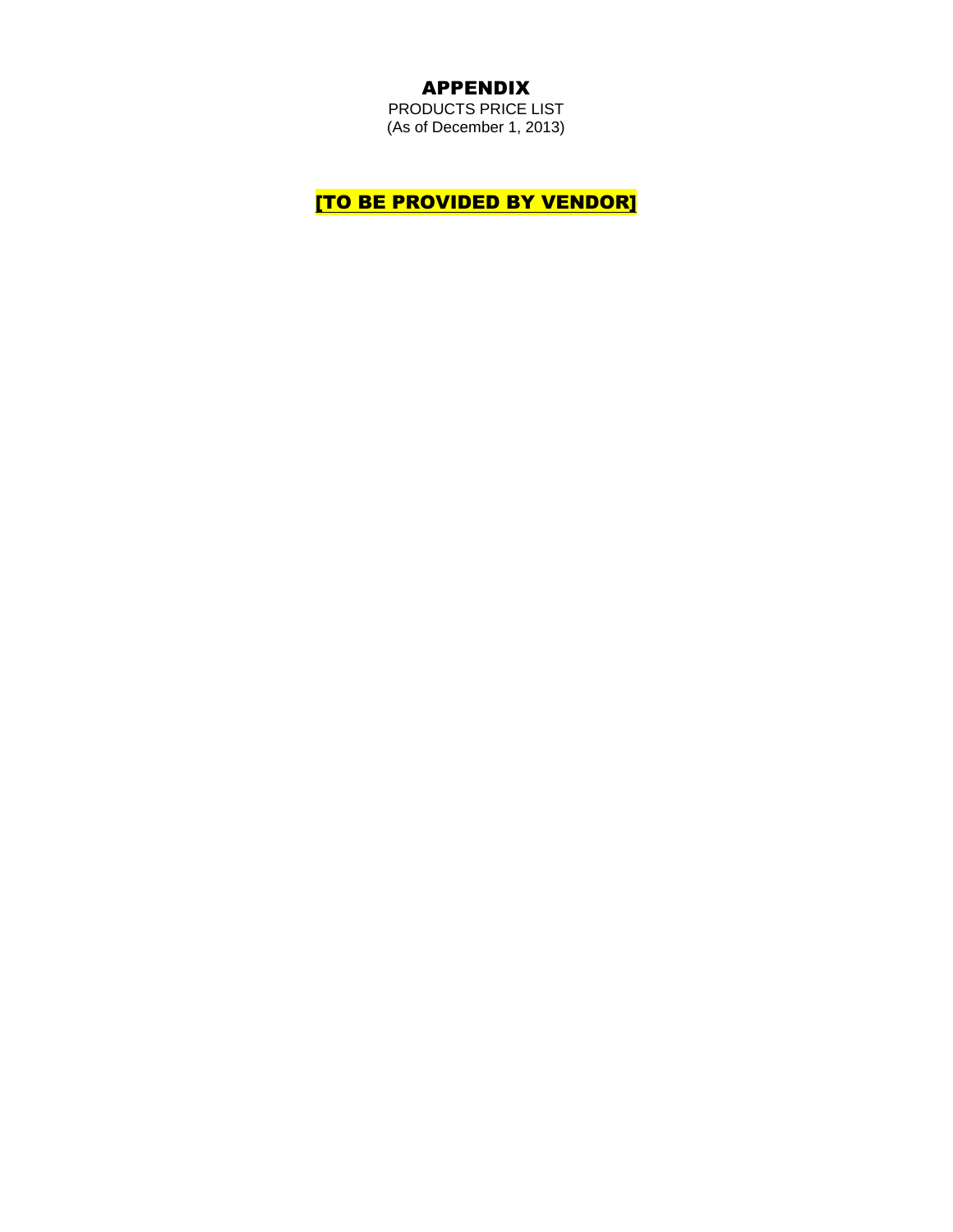# APPENDIX

PRODUCTS PRICE LIST (As of December 1, 2013)

**[TO BE PROVIDED BY VENDOR]**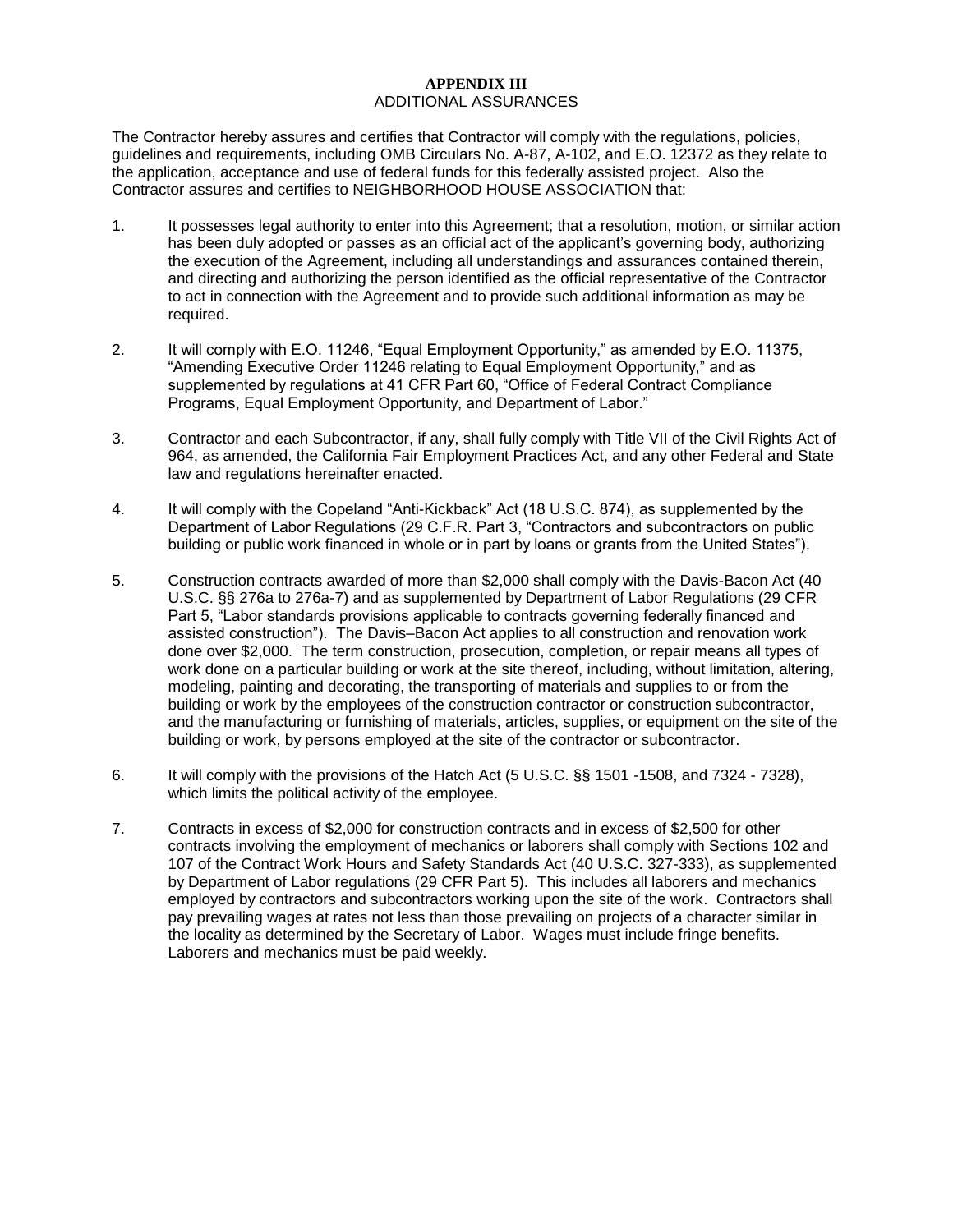### **APPENDIX III** ADDITIONAL ASSURANCES

The Contractor hereby assures and certifies that Contractor will comply with the regulations, policies, guidelines and requirements, including OMB Circulars No. A-87, A-102, and E.O. 12372 as they relate to the application, acceptance and use of federal funds for this federally assisted project. Also the Contractor assures and certifies to NEIGHBORHOOD HOUSE ASSOCIATION that:

- 1. It possesses legal authority to enter into this Agreement; that a resolution, motion, or similar action has been duly adopted or passes as an official act of the applicant's governing body, authorizing the execution of the Agreement, including all understandings and assurances contained therein, and directing and authorizing the person identified as the official representative of the Contractor to act in connection with the Agreement and to provide such additional information as may be required.
- 2. It will comply with E.O. 11246, "Equal Employment Opportunity," as amended by E.O. 11375, "Amending Executive Order 11246 relating to Equal Employment Opportunity," and as supplemented by regulations at 41 CFR Part 60, "Office of Federal Contract Compliance Programs, Equal Employment Opportunity, and Department of Labor."
- 3. Contractor and each Subcontractor, if any, shall fully comply with Title VII of the Civil Rights Act of 964, as amended, the California Fair Employment Practices Act, and any other Federal and State law and regulations hereinafter enacted.
- 4. It will comply with the Copeland "Anti-Kickback" Act (18 U.S.C. 874), as supplemented by the Department of Labor Regulations (29 C.F.R. Part 3, "Contractors and subcontractors on public building or public work financed in whole or in part by loans or grants from the United States").
- 5. Construction contracts awarded of more than \$2,000 shall comply with the Davis-Bacon Act (40 U.S.C. §§ 276a to 276a-7) and as supplemented by Department of Labor Regulations (29 CFR Part 5, "Labor standards provisions applicable to contracts governing federally financed and assisted construction"). The Davis–Bacon Act applies to all construction and renovation work done over \$2,000. The term construction, prosecution, completion, or repair means all types of work done on a particular building or work at the site thereof, including, without limitation, altering, modeling, painting and decorating, the transporting of materials and supplies to or from the building or work by the employees of the construction contractor or construction subcontractor, and the manufacturing or furnishing of materials, articles, supplies, or equipment on the site of the building or work, by persons employed at the site of the contractor or subcontractor.
- 6. It will comply with the provisions of the Hatch Act (5 U.S.C. §§ 1501 -1508, and 7324 7328), which limits the political activity of the employee.
- 7. Contracts in excess of \$2,000 for construction contracts and in excess of \$2,500 for other contracts involving the employment of mechanics or laborers shall comply with Sections 102 and 107 of the Contract Work Hours and Safety Standards Act (40 U.S.C. 327-333), as supplemented by Department of Labor regulations (29 CFR Part 5). This includes all laborers and mechanics employed by contractors and subcontractors working upon the site of the work. Contractors shall pay prevailing wages at rates not less than those prevailing on projects of a character similar in the locality as determined by the Secretary of Labor. Wages must include fringe benefits. Laborers and mechanics must be paid weekly.